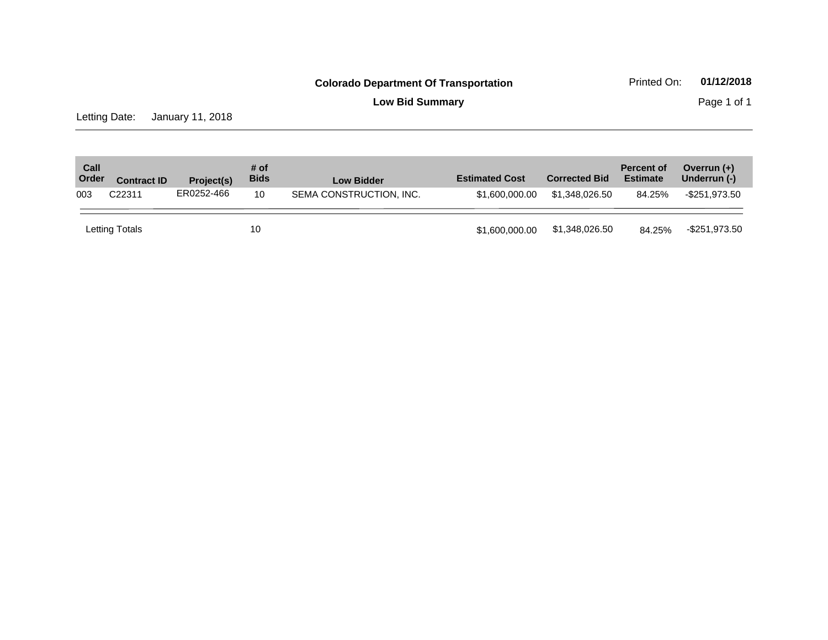**Low Bid Summary Page 1 of 1** 

Letting Date: January 11, 2018

| Call<br>Order | <b>Contract ID</b> | Project(s) | # of<br><b>Bids</b> | <b>Low Bidder</b>       | <b>Estimated Cost</b> | <b>Corrected Bid</b> | <b>Percent of</b><br><b>Estimate</b> | Overrun $(+)$<br>Underrun (-) |
|---------------|--------------------|------------|---------------------|-------------------------|-----------------------|----------------------|--------------------------------------|-------------------------------|
| 003           | C22311             | ER0252-466 | 10                  | SEMA CONSTRUCTION, INC. | \$1,600,000,00        | \$1.348.026.50       | 84.25%                               | -\$251.973.50                 |
|               | Letting Totals     |            | 10                  |                         | \$1,600,000.00        | \$1,348,026.50       | 84.25%                               | -\$251,973.50                 |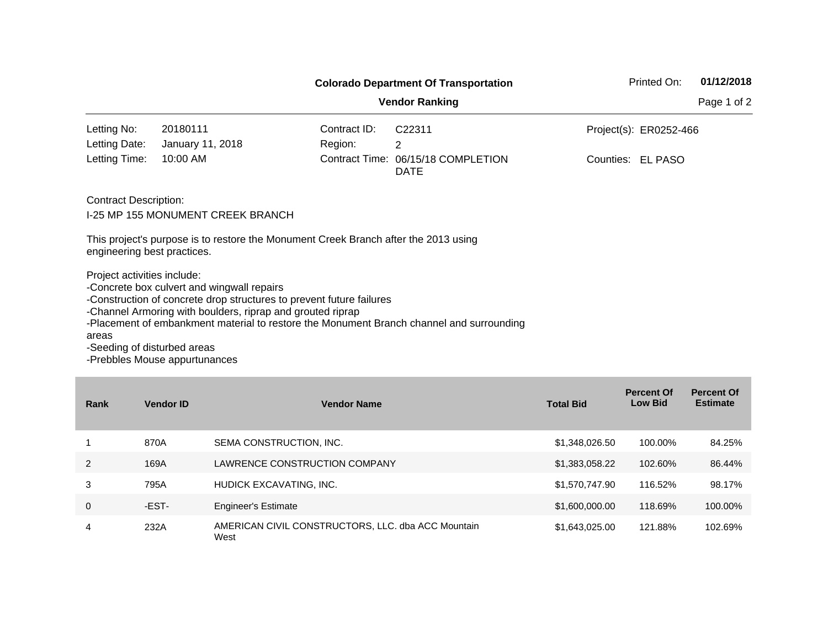|                                                                     |                                                                                                                                                                                  | <b>Colorado Department Of Transportation</b> | Printed On:                                                                              | 01/12/2018             |             |
|---------------------------------------------------------------------|----------------------------------------------------------------------------------------------------------------------------------------------------------------------------------|----------------------------------------------|------------------------------------------------------------------------------------------|------------------------|-------------|
|                                                                     |                                                                                                                                                                                  |                                              | <b>Vendor Ranking</b>                                                                    |                        | Page 1 of 2 |
| Letting No:                                                         | 20180111                                                                                                                                                                         | Contract ID:                                 | C <sub>22311</sub>                                                                       | Project(s): ER0252-466 |             |
| Letting Date:                                                       | January 11, 2018                                                                                                                                                                 | Region:                                      | 2                                                                                        |                        |             |
| Letting Time:                                                       | 10:00 AM                                                                                                                                                                         |                                              | Contract Time: 06/15/18 COMPLETION<br><b>DATE</b>                                        | Counties: EL PASO      |             |
| <b>Contract Description:</b>                                        | I-25 MP 155 MONUMENT CREEK BRANCH                                                                                                                                                |                                              |                                                                                          |                        |             |
| engineering best practices.                                         | This project's purpose is to restore the Monument Creek Branch after the 2013 using                                                                                              |                                              |                                                                                          |                        |             |
| Project activities include:<br>areas<br>-Seeding of disturbed areas | -Concrete box culvert and wingwall repairs<br>-Construction of concrete drop structures to prevent future failures<br>-Channel Armoring with boulders, riprap and grouted riprap |                                              | -Placement of embankment material to restore the Monument Branch channel and surrounding |                        |             |

| Rank | <b>Vendor ID</b> | <b>Vendor Name</b>                                         | <b>Total Bid</b> | <b>Percent Of</b><br><b>Low Bid</b> | <b>Percent Of</b><br><b>Estimate</b> |
|------|------------------|------------------------------------------------------------|------------------|-------------------------------------|--------------------------------------|
|      | 870A             | SEMA CONSTRUCTION, INC.                                    | \$1,348,026.50   | 100.00%                             | 84.25%                               |
| 2    | 169A             | LAWRENCE CONSTRUCTION COMPANY                              | \$1,383,058.22   | 102.60%                             | 86.44%                               |
| 3    | 795A             | HUDICK EXCAVATING, INC.                                    | \$1,570,747.90   | 116.52%                             | 98.17%                               |
| 0    | -EST-            | <b>Engineer's Estimate</b>                                 | \$1,600,000.00   | 118.69%                             | 100.00%                              |
| 4    | 232A             | AMERICAN CIVIL CONSTRUCTORS, LLC. dba ACC Mountain<br>West | \$1,643,025.00   | 121.88%                             | 102.69%                              |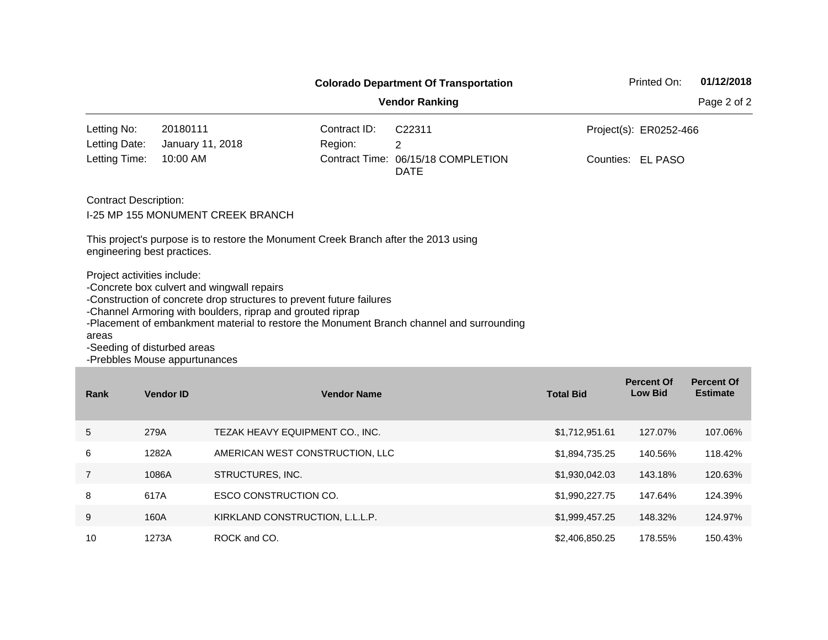|                                              |                                                                                             |                                                                                                                                                                                  | <b>Colorado Department Of Transportation</b> |                                                                                          | Printed On:                         | 01/12/2018                           |             |  |  |  |  |
|----------------------------------------------|---------------------------------------------------------------------------------------------|----------------------------------------------------------------------------------------------------------------------------------------------------------------------------------|----------------------------------------------|------------------------------------------------------------------------------------------|-------------------------------------|--------------------------------------|-------------|--|--|--|--|
|                                              |                                                                                             |                                                                                                                                                                                  |                                              | <b>Vendor Ranking</b>                                                                    |                                     |                                      | Page 2 of 2 |  |  |  |  |
| Letting No:                                  | 20180111                                                                                    |                                                                                                                                                                                  | Contract ID:                                 | C22311                                                                                   |                                     | Project(s): ER0252-466               |             |  |  |  |  |
| Letting Date:                                | January 11, 2018                                                                            |                                                                                                                                                                                  | Region:                                      | $\overline{2}$                                                                           |                                     |                                      |             |  |  |  |  |
| Letting Time:                                | 10:00 AM                                                                                    |                                                                                                                                                                                  |                                              | Contract Time: 06/15/18 COMPLETION<br><b>DATE</b>                                        |                                     | Counties: EL PASO                    |             |  |  |  |  |
|                                              | <b>Contract Description:</b><br><b>I-25 MP 155 MONUMENT CREEK BRANCH</b>                    |                                                                                                                                                                                  |                                              |                                                                                          |                                     |                                      |             |  |  |  |  |
|                                              | engineering best practices.                                                                 | This project's purpose is to restore the Monument Creek Branch after the 2013 using                                                                                              |                                              |                                                                                          |                                     |                                      |             |  |  |  |  |
| areas                                        | Project activities include:<br>-Seeding of disturbed areas<br>-Prebbles Mouse appurtunances | -Concrete box culvert and wingwall repairs<br>-Construction of concrete drop structures to prevent future failures<br>-Channel Armoring with boulders, riprap and grouted riprap |                                              | -Placement of embankment material to restore the Monument Branch channel and surrounding |                                     |                                      |             |  |  |  |  |
| Rank                                         | <b>Vendor ID</b>                                                                            | <b>Vendor Name</b>                                                                                                                                                               |                                              | <b>Total Bid</b>                                                                         | <b>Percent Of</b><br><b>Low Bid</b> | <b>Percent Of</b><br><b>Estimate</b> |             |  |  |  |  |
| 5<br>279A<br>TEZAK HEAVY EQUIPMENT CO., INC. |                                                                                             |                                                                                                                                                                                  |                                              |                                                                                          | \$1,712,951.61                      | 127.07%                              | 107.06%     |  |  |  |  |
| 6                                            | 1282A                                                                                       | AMERICAN WEST CONSTRUCTION, LLC                                                                                                                                                  |                                              | \$1,894,735.25                                                                           | 140.56%                             | 118.42%                              |             |  |  |  |  |

7 1086A STRUCTURES, INC. \$1,930,042.03 143.18% 120.63%

8 617A ESCO CONSTRUCTION CO. \$1,990,227.75 647.64% 124.39% 9 160A KIRKLAND CONSTRUCTION, L.L.L.P. \$1,999,457.25 148.32% 124.97% 10 1273A ROCK and CO. 20 178.55% 150.43%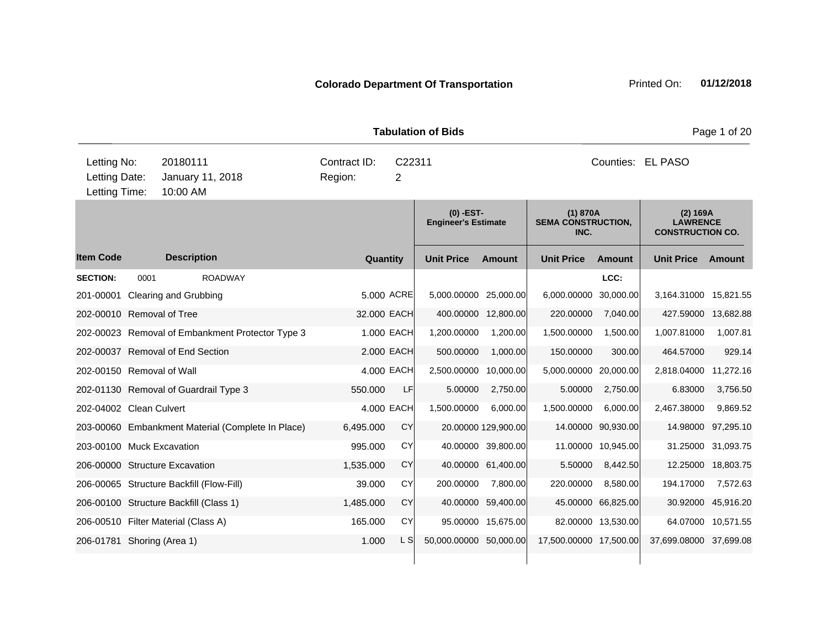| <b>Tabulation of Bids</b>                     |      |                      |                                                   |                         |           |             |                                           |                     |                                               |                    |                                                        | Page 1 of 20       |  |
|-----------------------------------------------|------|----------------------|---------------------------------------------------|-------------------------|-----------|-------------|-------------------------------------------|---------------------|-----------------------------------------------|--------------------|--------------------------------------------------------|--------------------|--|
| Letting No:<br>Letting Date:<br>Letting Time: |      | 20180111<br>10:00 AM | January 11, 2018                                  | Contract ID:<br>Region: |           | C22311<br>2 |                                           |                     | Counties: EL PASO                             |                    |                                                        |                    |  |
|                                               |      |                      |                                                   |                         |           |             | $(0)$ -EST-<br><b>Engineer's Estimate</b> |                     | (1) 870A<br><b>SEMA CONSTRUCTION,</b><br>INC. |                    | (2) 169A<br><b>LAWRENCE</b><br><b>CONSTRUCTION CO.</b> |                    |  |
| <b>Item Code</b>                              |      | <b>Description</b>   |                                                   |                         |           | Quantity    | <b>Unit Price</b>                         | <b>Amount</b>       | <b>Unit Price</b>                             | <b>Amount</b>      | <b>Unit Price</b>                                      | Amount             |  |
| <b>SECTION:</b>                               | 0001 |                      | <b>ROADWAY</b>                                    |                         |           |             |                                           |                     |                                               | LCC:               |                                                        |                    |  |
| 201-00001 Clearing and Grubbing               |      |                      |                                                   |                         |           | 5.000 ACRE  | 5,000.00000                               | 25,000.00           | 6,000.00000                                   | 30,000.00          | 3,164.31000                                            | 15,821.55          |  |
| 202-00010 Removal of Tree                     |      |                      |                                                   |                         |           | 32.000 EACH |                                           | 400.00000 12,800.00 | 220.00000                                     | 7,040.00           | 427.59000                                              | 13,682.88          |  |
|                                               |      |                      | 202-00023 Removal of Embankment Protector Type 3  |                         |           | 1.000 EACH  | 1,200.00000                               | 1,200.00            | 1,500.00000                                   | 1,500.00           | 1,007.81000                                            | 1,007.81           |  |
| 202-00037 Removal of End Section              |      |                      |                                                   |                         |           | 2.000 EACH  | 500.00000                                 | 1,000.00            | 150.00000                                     | 300.00             | 464.57000                                              | 929.14             |  |
| 202-00150 Removal of Wall                     |      |                      |                                                   |                         |           | 4.000 EACH  | 2,500.00000                               | 10,000.00           | 5,000.00000 20,000.00                         |                    | 2,818.04000                                            | 11,272.16          |  |
|                                               |      |                      | 202-01130 Removal of Guardrail Type 3             |                         | 550.000   | LF          | 5.00000                                   | 2,750.00            | 5.00000                                       | 2,750.00           | 6.83000                                                | 3,756.50           |  |
| 202-04002 Clean Culvert                       |      |                      |                                                   |                         |           | 4.000 EACH  | 1,500.00000                               | 6,000.00            | 1,500.00000                                   | 6,000.00           | 2,467.38000                                            | 9,869.52           |  |
|                                               |      |                      | 203-00060 Embankment Material (Complete In Place) |                         | 6,495.000 | CY          |                                           | 20.00000 129,900.00 |                                               | 14.00000 90,930.00 | 14.98000                                               | 97,295.10          |  |
| 203-00100 Muck Excavation                     |      |                      |                                                   |                         | 995.000   | CY          |                                           | 40.00000 39,800.00  |                                               | 11.00000 10.945.00 | 31.25000                                               | 31,093.75          |  |
| 206-00000 Structure Excavation                |      |                      |                                                   |                         | 1,535.000 | <b>CY</b>   | 40.00000                                  | 61,400.00           | 5.50000                                       | 8,442.50           | 12.25000                                               | 18,803.75          |  |
| 206-00065 Structure Backfill (Flow-Fill)      |      |                      |                                                   |                         | 39.000    | <b>CY</b>   | 200.00000                                 | 7,800.00            | 220.00000                                     | 8,580.00           | 194.17000                                              | 7,572.63           |  |
| 206-00100 Structure Backfill (Class 1)        |      |                      |                                                   |                         | 1,485.000 | <b>CY</b>   |                                           | 40.00000 59,400.00  |                                               | 45.00000 66,825.00 | 30.92000                                               | 45,916.20          |  |
| 206-00510 Filter Material (Class A)           |      |                      |                                                   |                         | 165.000   | CY          |                                           | 95.00000 15,675.00  |                                               | 82.00000 13,530.00 |                                                        | 64.07000 10,571.55 |  |
| 206-01781 Shoring (Area 1)                    |      |                      |                                                   |                         | 1.000     | L SI        | 50,000.00000 50,000.00                    |                     | 17,500.00000 17,500.00                        |                    | 37,699.08000 37,699.08                                 |                    |  |
|                                               |      |                      |                                                   |                         |           |             |                                           |                     |                                               |                    |                                                        |                    |  |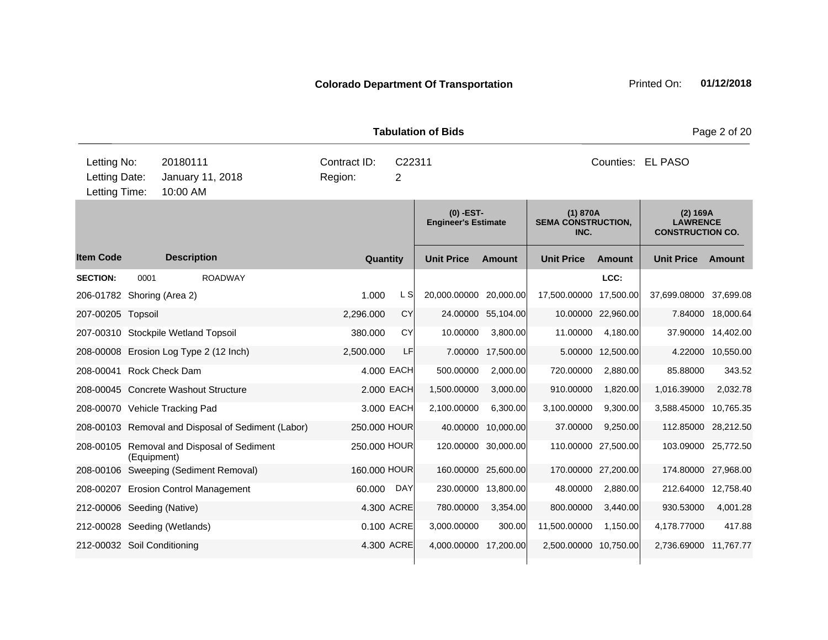|                                               |             |                                            |                                                    |                         |                          | <b>Tabulation of Bids</b>               |                     | Page 2 of 20                                  |                     |                                                        |               |  |
|-----------------------------------------------|-------------|--------------------------------------------|----------------------------------------------------|-------------------------|--------------------------|-----------------------------------------|---------------------|-----------------------------------------------|---------------------|--------------------------------------------------------|---------------|--|
| Letting No:<br>Letting Date:<br>Letting Time: |             | 20180111<br>January 11, 2018<br>10:00 AM   |                                                    | Contract ID:<br>Region: | C22311<br>$\overline{2}$ |                                         |                     |                                               |                     | Counties: EL PASO                                      |               |  |
|                                               |             |                                            |                                                    |                         |                          | (0) -EST-<br><b>Engineer's Estimate</b> |                     | (1) 870A<br><b>SEMA CONSTRUCTION,</b><br>INC. |                     | (2) 169A<br><b>LAWRENCE</b><br><b>CONSTRUCTION CO.</b> |               |  |
| <b>Item Code</b>                              |             | <b>Description</b>                         |                                                    | Quantity                |                          | <b>Unit Price</b>                       | <b>Amount</b>       | <b>Unit Price</b>                             | <b>Amount</b>       | <b>Unit Price</b>                                      | <b>Amount</b> |  |
| <b>SECTION:</b>                               | 0001        | <b>ROADWAY</b>                             |                                                    |                         |                          |                                         |                     |                                               | LCC:                |                                                        |               |  |
| 206-01782 Shoring (Area 2)                    |             |                                            |                                                    | 1.000                   | L SI                     | 20,000.00000 20,000.00                  |                     | 17,500.00000 17,500.00                        |                     | 37,699.08000                                           | 37,699.08     |  |
| 207-00205 Topsoil                             |             |                                            |                                                    | 2,296.000               | CY                       |                                         | 24.00000 55,104.00  |                                               | 10.00000 22,960.00  | 7.84000                                                | 18,000.64     |  |
|                                               |             | 207-00310 Stockpile Wetland Topsoil        |                                                    | 380.000                 | CY                       | 10.00000                                | 3,800.00            | 11.00000                                      | 4,180.00            | 37.90000                                               | 14,402.00     |  |
|                                               |             | 208-00008 Erosion Log Type 2 (12 Inch)     |                                                    | 2,500.000               | LF                       | 7.00000                                 | 17,500.00           |                                               | 5.00000 12,500.00   | 4.22000                                                | 10,550.00     |  |
| 208-00041 Rock Check Dam                      |             |                                            |                                                    |                         | 4.000 EACH               | 500.00000                               | 2,000.00            | 720.00000                                     | 2,880.00            | 85.88000                                               | 343.52        |  |
|                                               |             | 208-00045 Concrete Washout Structure       |                                                    |                         | 2.000 EACH               | 1,500.00000                             | 3,000.00            | 910.00000                                     | 1,820.00            | 1,016.39000                                            | 2,032.78      |  |
| 208-00070 Vehicle Tracking Pad                |             |                                            |                                                    |                         | 3.000 EACH               | 2,100.00000                             | 6,300.00            | 3,100.00000                                   | 9,300.00            | 3,588.45000                                            | 10,765.35     |  |
|                                               |             |                                            | 208-00103 Removal and Disposal of Sediment (Labor) | 250.000 HOUR            |                          |                                         | 40.00000 10,000.00  | 37.00000                                      | 9,250.00            | 112.85000 28,212.50                                    |               |  |
|                                               | (Equipment) | 208-00105 Removal and Disposal of Sediment |                                                    | 250.000 HOUR            |                          |                                         | 120.00000 30,000.00 |                                               | 110.00000 27,500.00 | 103.09000 25,772.50                                    |               |  |
|                                               |             | 208-00106 Sweeping (Sediment Removal)      |                                                    | 160.000 HOUR            |                          |                                         | 160.00000 25,600.00 |                                               | 170.00000 27,200.00 | 174.80000                                              | 27,968.00     |  |
|                                               |             | 208-00207 Erosion Control Management       |                                                    | 60.000                  | DAY                      |                                         | 230.00000 13,800.00 | 48.00000                                      | 2,880.00            | 212.64000                                              | 12,758.40     |  |
| 212-00006 Seeding (Native)                    |             |                                            |                                                    |                         | 4.300 ACRE               | 780.00000                               | 3,354.00            | 800.00000                                     | 3,440.00            | 930.53000                                              | 4,001.28      |  |
| 212-00028 Seeding (Wetlands)                  |             |                                            |                                                    |                         | 0.100 ACRE               | 3,000.00000                             | 300.00              | 11,500.00000                                  | 1,150.00            | 4,178.77000                                            | 417.88        |  |
| 212-00032 Soil Conditioning                   |             |                                            |                                                    |                         | 4.300 ACRE               | 4,000.00000 17,200.00                   |                     | 2,500.00000 10,750.00                         |                     | 2,736.69000 11,767.77                                  |               |  |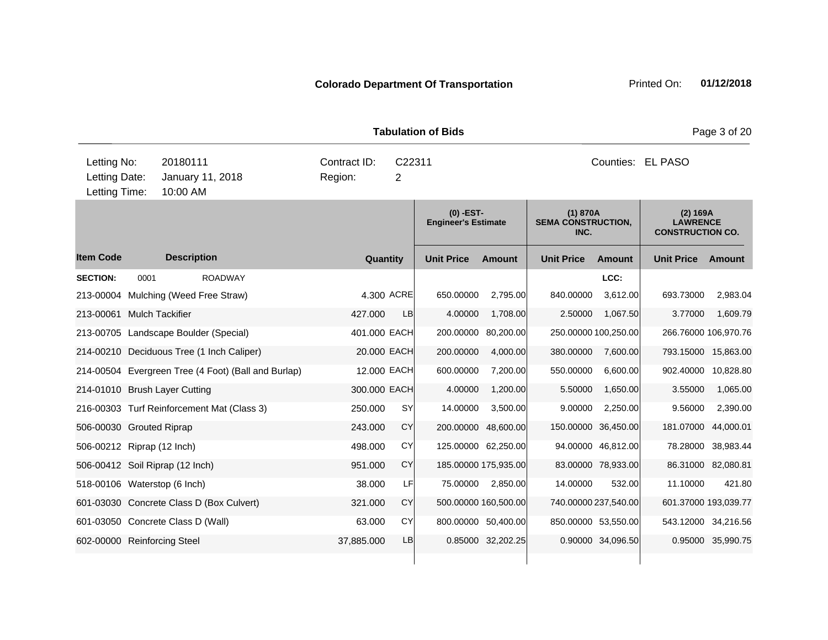|                 |                                   |                                                     |              |                | TADUIAUUH UL DIUS                         |                      |                                               |                      |                                                        | Faye o UI ZU         |
|-----------------|-----------------------------------|-----------------------------------------------------|--------------|----------------|-------------------------------------------|----------------------|-----------------------------------------------|----------------------|--------------------------------------------------------|----------------------|
| Letting No:     | 20180111                          |                                                     | Contract ID: | C22311         |                                           |                      |                                               |                      | Counties: EL PASO                                      |                      |
| Letting Date:   |                                   | January 11, 2018                                    | Region:      | $\overline{2}$ |                                           |                      |                                               |                      |                                                        |                      |
| Letting Time:   | 10:00 AM                          |                                                     |              |                |                                           |                      |                                               |                      |                                                        |                      |
|                 |                                   |                                                     |              |                | $(0)$ -EST-<br><b>Engineer's Estimate</b> |                      | (1) 870A<br><b>SEMA CONSTRUCTION,</b><br>INC. |                      | (2) 169A<br><b>LAWRENCE</b><br><b>CONSTRUCTION CO.</b> |                      |
| ltem Code       |                                   | <b>Description</b>                                  |              | Quantity       | <b>Unit Price</b>                         | <b>Amount</b>        | <b>Unit Price</b>                             | <b>Amount</b>        | <b>Unit Price</b>                                      | Amount               |
| <b>SECTION:</b> | 0001                              | <b>ROADWAY</b>                                      |              |                |                                           |                      |                                               | LCC:                 |                                                        |                      |
|                 |                                   | 213-00004 Mulching (Weed Free Straw)                |              | 4.300 ACRE     | 650.00000                                 | 2,795.00             | 840.00000                                     | 3,612.00             | 693.73000                                              | 2,983.04             |
|                 | 213-00061 Mulch Tackifier         |                                                     | 427.000      | <b>LB</b>      | 4.00000                                   | 1,708.00             | 2.50000                                       | 1,067.50             | 3.77000                                                | 1,609.79             |
|                 |                                   | 213-00705 Landscape Boulder (Special)               | 401.000 EACH |                | 200.00000                                 | 80,200.00            |                                               | 250.00000 100,250.00 |                                                        | 266.76000 106,970.76 |
|                 |                                   | 214-00210 Deciduous Tree (1 Inch Caliper)           |              | 20.000 EACH    | 200.00000                                 | 4,000.00             | 380.00000                                     | 7,600.00             |                                                        | 793.15000 15,863.00  |
|                 |                                   | 214-00504 Evergreen Tree (4 Foot) (Ball and Burlap) |              | 12.000 EACH    | 600.00000                                 | 7,200.00             | 550.00000                                     | 6,600.00             |                                                        | 902.40000 10,828.80  |
|                 | 214-01010 Brush Layer Cutting     |                                                     | 300,000 EACH |                | 4.00000                                   | 1,200.00             | 5.50000                                       | 1,650.00             | 3.55000                                                | 1,065.00             |
|                 |                                   | 216-00303 Turf Reinforcement Mat (Class 3)          | 250.000      | <b>SY</b>      | 14.00000                                  | 3,500.00             | 9.00000                                       | 2,250.00             | 9.56000                                                | 2,390.00             |
|                 | 506-00030 Grouted Riprap          |                                                     | 243.000      | <b>CY</b>      |                                           | 200.00000 48,600.00  |                                               | 150.00000 36,450.00  | 181.07000                                              | 44,000.01            |
|                 | 506-00212 Riprap (12 Inch)        |                                                     | 498,000      | CY             |                                           | 125.00000 62,250.00  |                                               | 94.00000 46,812.00   | 78.28000                                               | 38,983.44            |
|                 | 506-00412 Soil Riprap (12 Inch)   |                                                     | 951.000      | <b>CY</b>      |                                           | 185.00000 175,935.00 |                                               | 83.00000 78,933.00   |                                                        | 86.31000 82,080.81   |
|                 | 518-00106 Waterstop (6 Inch)      |                                                     | 38.000       | LF             | 75.00000                                  | 2,850.00             | 14.00000                                      | 532.00               | 11.10000                                               | 421.80               |
|                 |                                   | 601-03030 Concrete Class D (Box Culvert)            | 321.000      | <b>CY</b>      |                                           | 500.00000 160,500.00 |                                               | 740.00000 237,540.00 |                                                        | 601.37000 193,039.77 |
|                 | 601-03050 Concrete Class D (Wall) |                                                     | 63.000       | CY             |                                           | 800.00000 50,400.00  |                                               | 850.00000 53,550.00  |                                                        | 543.12000 34,216.56  |
|                 | 602-00000 Reinforcing Steel       |                                                     | 37,885.000   | LB             |                                           | 0.85000 32,202.25    |                                               | 0.90000 34,096.50    |                                                        | 0.95000 35,990.75    |

**Tabulation of Bids** Page 3 of 20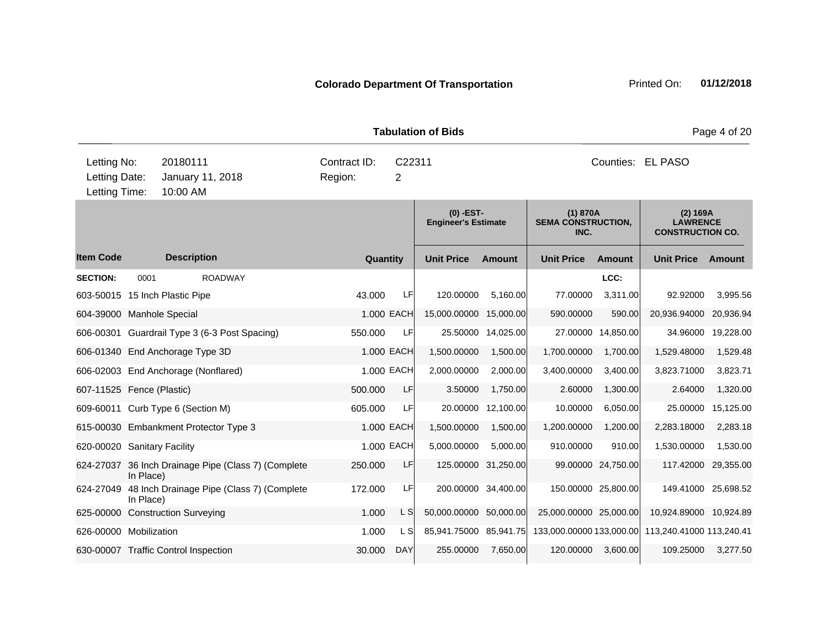|                                               |                                          |                               |                                                     |                         |             | <b>Tabulation of Bids</b>                 |                     | Page 4 of 20                                  |                     |                                                        |               |  |
|-----------------------------------------------|------------------------------------------|-------------------------------|-----------------------------------------------------|-------------------------|-------------|-------------------------------------------|---------------------|-----------------------------------------------|---------------------|--------------------------------------------------------|---------------|--|
| Letting No:<br>Letting Date:<br>Letting Time: | 20180111<br>January 11, 2018<br>10:00 AM |                               |                                                     | Contract ID:<br>Region: | C22311<br>2 |                                           |                     | Counties: EL PASO                             |                     |                                                        |               |  |
|                                               |                                          |                               |                                                     |                         |             | $(0)$ -EST-<br><b>Engineer's Estimate</b> |                     | (1) 870A<br><b>SEMA CONSTRUCTION,</b><br>INC. |                     | (2) 169A<br><b>LAWRENCE</b><br><b>CONSTRUCTION CO.</b> |               |  |
| <b>Item Code</b>                              |                                          | <b>Description</b>            |                                                     |                         | Quantity    | <b>Unit Price</b>                         | <b>Amount</b>       | <b>Unit Price</b>                             | <b>Amount</b>       | <b>Unit Price</b>                                      | <b>Amount</b> |  |
| <b>SECTION:</b>                               | 0001                                     |                               | <b>ROADWAY</b>                                      |                         |             |                                           |                     |                                               | LCC:                |                                                        |               |  |
| 603-50015 15 Inch Plastic Pipe                |                                          |                               |                                                     | 43.000                  | LF          | 120.00000                                 | 5,160.00            | 77.00000                                      | 3,311.00            | 92.92000                                               | 3,995.56      |  |
| 604-39000 Manhole Special                     |                                          |                               |                                                     |                         | 1.000 EACH  | 15,000.00000                              | 15,000.00           | 590.00000                                     | 590.00              | 20,936.94000                                           | 20,936.94     |  |
|                                               |                                          |                               | 606-00301 Guardrail Type 3 (6-3 Post Spacing)       | 550.000                 | LF          |                                           | 25.50000 14,025.00  |                                               | 27.00000 14,850.00  | 34.96000                                               | 19,228.00     |  |
| 606-01340 End Anchorage Type 3D               |                                          |                               |                                                     |                         | 1.000 EACH  | 1,500.00000                               | 1,500.00            | 1,700.00000                                   | 1,700.00            | 1,529.48000                                            | 1,529.48      |  |
| 606-02003 End Anchorage (Nonflared)           |                                          |                               |                                                     |                         | 1.000 EACH  | 2,000.00000                               | 2,000.00            | 3,400.00000                                   | 3,400.00            | 3,823.71000                                            | 3,823.71      |  |
| 607-11525 Fence (Plastic)                     |                                          |                               |                                                     | 500.000                 | LF          | 3.50000                                   | 1,750.00            | 2.60000                                       | 1,300.00            | 2.64000                                                | 1,320.00      |  |
| 609-60011 Curb Type 6 (Section M)             |                                          |                               |                                                     | 605.000                 | LF          |                                           | 20.00000 12,100.00  | 10.00000                                      | 6,050.00            | 25.00000                                               | 15,125.00     |  |
|                                               |                                          |                               | 615-00030 Embankment Protector Type 3               |                         | 1.000 EACH  | 1,500.00000                               | 1,500.00            | 1,200.00000                                   | 1,200.00            | 2,283.18000                                            | 2,283.18      |  |
| 620-00020 Sanitary Facility                   |                                          |                               |                                                     |                         | 1.000 EACH  | 5,000.00000                               | 5,000.00            | 910.00000                                     | 910.00              | 1,530.00000                                            | 1,530.00      |  |
|                                               | In Place)                                |                               | 624-27037 36 Inch Drainage Pipe (Class 7) (Complete | 250.000                 | LF          | 125.00000                                 | 31,250.00           |                                               | 99.00000 24,750.00  | 117.42000                                              | 29,355.00     |  |
| 624-27049                                     | In Place)                                |                               | 48 Inch Drainage Pipe (Class 7) (Complete           | 172.000                 | LF          |                                           | 200.00000 34,400.00 |                                               | 150.00000 25,800.00 | 149.41000                                              | 25,698.52     |  |
| 625-00000                                     |                                          | <b>Construction Surveying</b> |                                                     | 1.000                   | L S         | 50,000.00000 50,000.00                    |                     | 25,000.00000 25,000.00                        |                     | 10,924.89000 10,924.89                                 |               |  |
| 626-00000 Mobilization                        |                                          |                               |                                                     | 1.000                   | L S         | 85,941.75000 85,941.75                    |                     |                                               |                     | 133,000.00000 133,000.00 113,240.41000 113,240.41      |               |  |
| 630-00007 Traffic Control Inspection          |                                          |                               |                                                     | 30.000                  | <b>DAY</b>  | 255.00000                                 | 7,650.00            | 120.00000                                     | 3,600.00            | 109.25000                                              | 3,277.50      |  |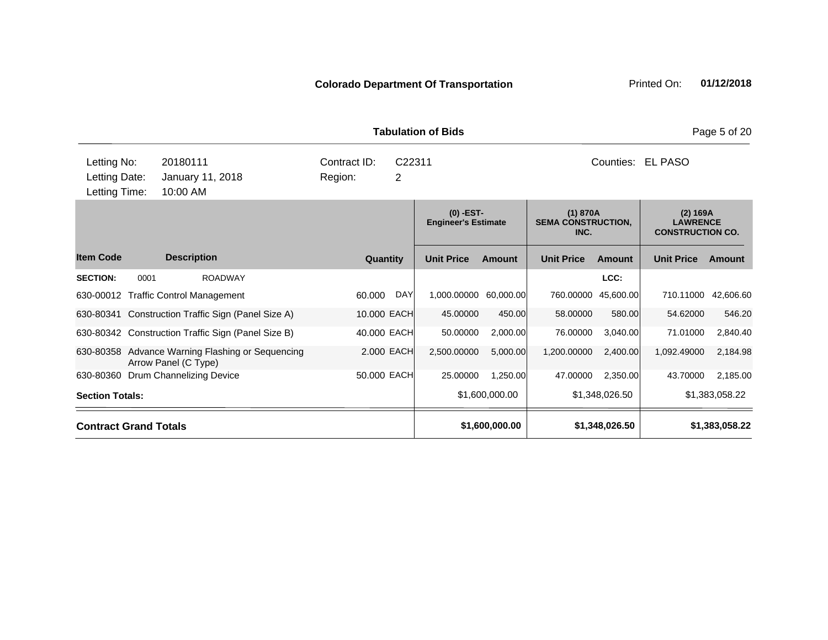|                                               |                              |                                                                          |                         |             | <b>Tabulation of Bids</b>                 |                |                                               |                |                                                        | Page 5 of 20   |
|-----------------------------------------------|------------------------------|--------------------------------------------------------------------------|-------------------------|-------------|-------------------------------------------|----------------|-----------------------------------------------|----------------|--------------------------------------------------------|----------------|
| Letting No:<br>Letting Date:<br>Letting Time: |                              | 20180111<br>January 11, 2018<br>10:00 AM                                 | Contract ID:<br>Region: | C22311<br>2 |                                           |                |                                               | Counties:      | <b>EL PASO</b>                                         |                |
|                                               | <b>Description</b>           |                                                                          |                         |             | $(0)$ -EST-<br><b>Engineer's Estimate</b> |                | (1) 870A<br><b>SEMA CONSTRUCTION,</b><br>INC. |                | (2) 169A<br><b>LAWRENCE</b><br><b>CONSTRUCTION CO.</b> |                |
| <b>Item Code</b>                              |                              |                                                                          |                         | Quantity    | <b>Unit Price</b>                         | <b>Amount</b>  | <b>Unit Price</b>                             | <b>Amount</b>  | <b>Unit Price</b>                                      | Amount         |
| <b>SECTION:</b>                               | 0001                         | <b>ROADWAY</b>                                                           |                         |             |                                           |                |                                               | LCC:           |                                                        |                |
|                                               |                              | 630-00012 Traffic Control Management                                     | 60.000                  | DAY         | 1,000.00000                               | 60,000.00      | 760.00000                                     | 45,600.00      | 710.11000                                              | 42,606.60      |
| 630-80341                                     |                              | Construction Traffic Sign (Panel Size A)                                 |                         | 10.000 EACH | 45.00000                                  | 450.00         | 58.00000                                      | 580.00         | 54.62000                                               | 546.20         |
|                                               |                              | 630-80342 Construction Traffic Sign (Panel Size B)                       |                         | 40.000 EACH | 50.00000                                  | 2,000.00       | 76.00000                                      | 3,040.00       | 71.01000                                               | 2,840.40       |
|                                               |                              | 630-80358 Advance Warning Flashing or Sequencing<br>Arrow Panel (C Type) |                         | 2.000 EACH  | 2,500.00000                               | 5,000.00       | 1,200.00000                                   | 2,400.00       | 1,092.49000                                            | 2,184.98       |
|                                               |                              | 630-80360 Drum Channelizing Device                                       |                         | 50.000 EACH | 25.00000                                  | 1.250.00       | 47,00000                                      | 2,350.00       | 43.70000                                               | 2,185.00       |
| <b>Section Totals:</b>                        |                              |                                                                          |                         |             |                                           | \$1,600,000.00 |                                               | \$1,348,026.50 |                                                        | \$1,383,058.22 |
|                                               | <b>Contract Grand Totals</b> |                                                                          |                         |             | \$1,600,000.00<br>\$1,348,026.50          |                |                                               | \$1,383,058.22 |                                                        |                |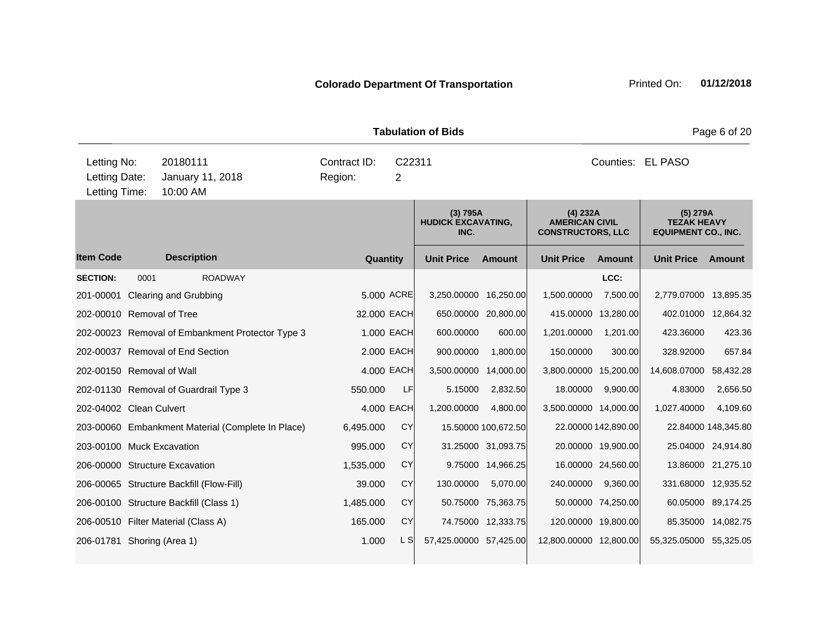| <b>Tabulation of Bids</b>                     |      |                                                   |                                               |            |                                                               |                     |                                                                |                     |                        | Page 6 of 20        |  |
|-----------------------------------------------|------|---------------------------------------------------|-----------------------------------------------|------------|---------------------------------------------------------------|---------------------|----------------------------------------------------------------|---------------------|------------------------|---------------------|--|
| Letting No:<br>Letting Date:<br>Letting Time: |      | 20180111<br>January 11, 2018<br>10:00 AM          | Contract ID:<br>C22311<br>Region:<br>2        |            |                                                               |                     | Counties: EL PASO                                              |                     |                        |                     |  |
|                                               |      |                                                   | (3) 795A<br><b>HUDICK EXCAVATING,</b><br>INC. |            | (4) 232A<br><b>AMERICAN CIVIL</b><br><b>CONSTRUCTORS, LLC</b> |                     | $(5)$ 279A<br><b>TEZAK HEAVY</b><br><b>EQUIPMENT CO., INC.</b> |                     |                        |                     |  |
| <b>Item Code</b>                              |      | <b>Description</b>                                | Quantity                                      |            | <b>Unit Price</b>                                             | <b>Amount</b>       | <b>Unit Price</b>                                              | <b>Amount</b>       | <b>Unit Price</b>      | Amount              |  |
| <b>SECTION:</b>                               | 0001 | <b>ROADWAY</b>                                    |                                               |            |                                                               |                     |                                                                | LCC:                |                        |                     |  |
|                                               |      | 201-00001 Clearing and Grubbing                   |                                               | 5,000 ACRE | 3,250.00000 16,250.00                                         |                     | 1,500.00000                                                    | 7,500.00            | 2,779.07000            | 13,895.35           |  |
| 202-00010 Removal of Tree                     |      |                                                   | 32.000 EACH                                   |            |                                                               | 650.00000 20,800.00 |                                                                | 415.00000 13,280.00 | 402.01000              | 12,864.32           |  |
|                                               |      | 202-00023 Removal of Embankment Protector Type 3  |                                               | 1.000 EACH | 600.00000                                                     | 600.00              | 1,201.00000                                                    | 1,201.00            | 423.36000              | 423.36              |  |
|                                               |      | 202-00037 Removal of End Section                  |                                               | 2.000 EACH | 900.00000                                                     | 1,800.00            | 150.00000                                                      | 300.00              | 328.92000              | 657.84              |  |
| 202-00150 Removal of Wall                     |      |                                                   |                                               | 4.000 EACH | 3,500.00000 14,000.00                                         |                     | 3,800.00000 15,200.00                                          |                     | 14,608.07000           | 58,432.28           |  |
|                                               |      | 202-01130 Removal of Guardrail Type 3             | 550.000                                       | LF         | 5.15000                                                       | 2,832.50            | 18.00000                                                       | 9,900.00            | 4.83000                | 2,656.50            |  |
| 202-04002 Clean Culvert                       |      |                                                   |                                               | 4,000 EACH | 1,200.00000                                                   | 4,800.00            | 3,500.00000 14,000.00                                          |                     | 1,027.40000            | 4,109.60            |  |
|                                               |      | 203-00060 Embankment Material (Complete In Place) | 6,495.000                                     | CY         |                                                               | 15.50000 100,672.50 |                                                                | 22.00000 142,890.00 |                        | 22.84000 148,345.80 |  |
| 203-00100 Muck Excavation                     |      |                                                   | 995.000                                       | <b>CY</b>  |                                                               | 31.25000 31,093.75  |                                                                | 20.00000 19,900.00  |                        | 25.04000 24,914.80  |  |
|                                               |      | 206-00000 Structure Excavation                    | 1,535.000                                     | CY         |                                                               | 9.75000 14,966.25   |                                                                | 16.00000 24,560.00  |                        | 13.86000 21,275.10  |  |
|                                               |      | 206-00065 Structure Backfill (Flow-Fill)          | 39.000                                        | CY         | 130.00000                                                     | 5,070.00            | 240.00000                                                      | 9,360.00            | 331.68000 12,935.52    |                     |  |
|                                               |      | 206-00100 Structure Backfill (Class 1)            | 1,485.000                                     | <b>CY</b>  |                                                               | 50.75000 75,363.75  |                                                                | 50.00000 74,250.00  |                        | 60.05000 89,174.25  |  |
|                                               |      | 206-00510 Filter Material (Class A)               | 165.000                                       | <b>CY</b>  |                                                               | 74.75000 12,333.75  |                                                                | 120.00000 19,800.00 |                        | 85.35000 14,082.75  |  |
| 206-01781 Shoring (Area 1)                    |      |                                                   | 1.000                                         | L S        | 57,425.00000 57,425.00                                        |                     | 12,800.00000 12,800.00                                         |                     | 55,325.05000 55,325.05 |                     |  |
|                                               |      |                                                   |                                               |            |                                                               |                     |                                                                |                     |                        |                     |  |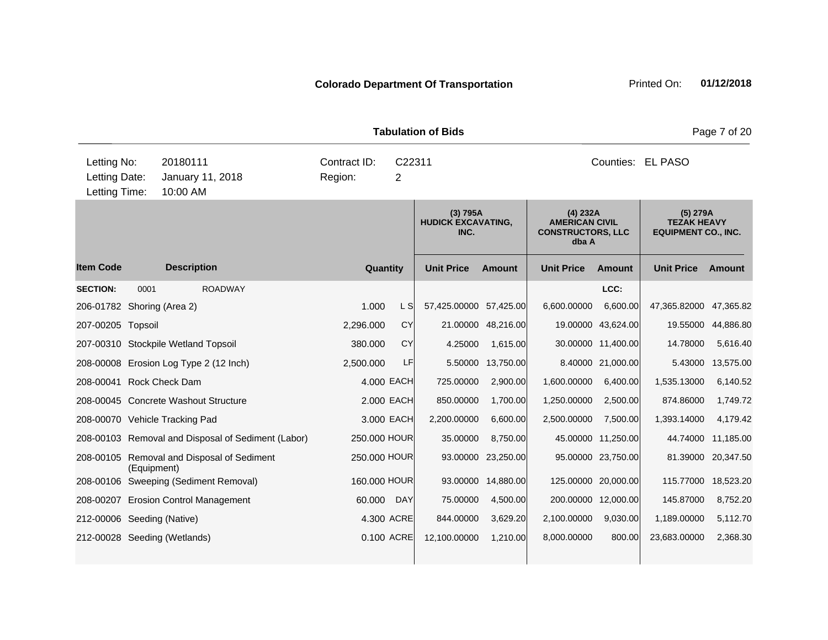| Page 7 of 20<br><b>Tabulation of Bids</b>     |                                          |                                                    |                         |                                               |                        |                                                                        |                   |                                                                |                   |           |
|-----------------------------------------------|------------------------------------------|----------------------------------------------------|-------------------------|-----------------------------------------------|------------------------|------------------------------------------------------------------------|-------------------|----------------------------------------------------------------|-------------------|-----------|
| Letting No:<br>Letting Date:<br>Letting Time: | 20180111<br>January 11, 2018<br>10:00 AM |                                                    | Contract ID:<br>Region: | C22311<br>2                                   |                        |                                                                        | Counties: EL PASO |                                                                |                   |           |
|                                               |                                          |                                                    |                         | (3) 795A<br><b>HUDICK EXCAVATING,</b><br>INC. |                        | (4) 232A<br><b>AMERICAN CIVIL</b><br><b>CONSTRUCTORS, LLC</b><br>dba A |                   | $(5)$ 279A<br><b>TEZAK HEAVY</b><br><b>EQUIPMENT CO., INC.</b> |                   |           |
| <b>Item Code</b>                              |                                          | <b>Description</b>                                 | Quantity                |                                               | <b>Unit Price</b>      | <b>Amount</b>                                                          | <b>Unit Price</b> | <b>Amount</b>                                                  | <b>Unit Price</b> | Amount    |
| <b>SECTION:</b>                               | 0001                                     | <b>ROADWAY</b>                                     |                         |                                               |                        |                                                                        |                   | LCC:                                                           |                   |           |
| 206-01782 Shoring (Area 2)                    |                                          |                                                    | 1.000                   | L S                                           | 57,425.00000 57,425.00 |                                                                        | 6,600.00000       | 6,600.00                                                       | 47,365.82000      | 47,365.82 |
| 207-00205 Topsoil                             |                                          |                                                    | 2,296.000               | <b>CY</b>                                     | 21.00000               | 48,216.00                                                              |                   | 19.00000 43,624.00                                             | 19.55000          | 44,886.80 |
|                                               |                                          | 207-00310 Stockpile Wetland Topsoil                | 380.000                 | <b>CY</b>                                     | 4.25000                | 1,615.00                                                               |                   | 30.00000 11,400.00                                             | 14.78000          | 5,616.40  |
|                                               |                                          | 208-00008 Erosion Log Type 2 (12 Inch)             | 2,500.000               | LF                                            | 5.50000                | 13,750.00                                                              |                   | 8.40000 21,000.00                                              | 5.43000           | 13,575.00 |
| 208-00041 Rock Check Dam                      |                                          |                                                    |                         | 4.000 EACH                                    | 725.00000              | 2,900.00                                                               | 1,600.00000       | 6,400.00                                                       | 1,535.13000       | 6,140.52  |
|                                               |                                          | 208-00045 Concrete Washout Structure               |                         | 2.000 EACH                                    | 850.00000              | 1,700.00                                                               | 1,250.00000       | 2,500.00                                                       | 874.86000         | 1,749.72  |
|                                               |                                          | 208-00070 Vehicle Tracking Pad                     |                         | 3.000 EACH                                    | 2,200.00000            | 6,600.00                                                               | 2,500.00000       | 7,500.00                                                       | 1,393.14000       | 4,179.42  |
|                                               |                                          | 208-00103 Removal and Disposal of Sediment (Labor) | 250.000 HOUR            |                                               | 35.00000               | 8,750.00                                                               |                   | 45.00000 11,250.00                                             | 44.74000          | 11,185.00 |
|                                               | (Equipment)                              | 208-00105 Removal and Disposal of Sediment         | 250.000 HOUR            |                                               | 93.00000               | 23,250.00                                                              |                   | 95.00000 23,750.00                                             | 81.39000          | 20,347.50 |
|                                               |                                          | 208-00106 Sweeping (Sediment Removal)              | 160.000 HOUR            |                                               | 93.00000               | 14,880.00                                                              |                   | 125.00000 20,000.00                                            | 115.77000         | 18,523.20 |
|                                               |                                          | 208-00207 Erosion Control Management               | 60.000                  | <b>DAY</b>                                    | 75.00000               | 4,500.00                                                               |                   | 200.00000 12,000.00                                            | 145.87000         | 8,752.20  |
| 212-00006 Seeding (Native)                    |                                          |                                                    |                         | 4.300 ACRE                                    | 844.00000              | 3,629.20                                                               | 2,100.00000       | 9,030.00                                                       | 1,189.00000       | 5,112.70  |
|                                               |                                          | 212-00028 Seeding (Wetlands)                       |                         | 0.100 ACRE                                    | 12,100.00000           | 1,210.00                                                               | 8,000.00000       | 800.00                                                         | 23,683.00000      | 2,368.30  |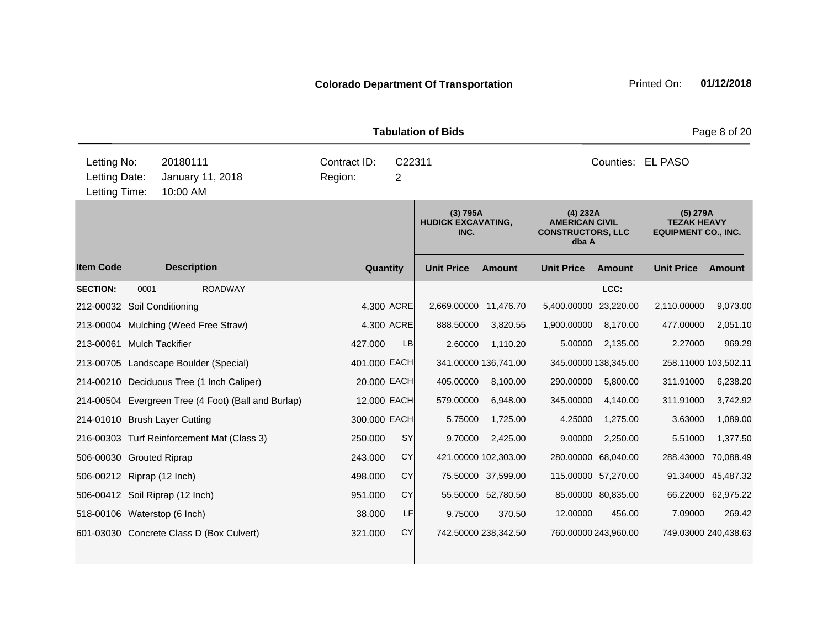|                                               | <b>Tabulation of Bids</b><br>Page 8 of 20 |                                                     |                         |            |                                               |                      |                                                                          |                      |                                                              |                    |  |
|-----------------------------------------------|-------------------------------------------|-----------------------------------------------------|-------------------------|------------|-----------------------------------------------|----------------------|--------------------------------------------------------------------------|----------------------|--------------------------------------------------------------|--------------------|--|
| Letting No:<br>Letting Date:<br>Letting Time: |                                           | 20180111<br>January 11, 2018<br>10:00 AM            | Contract ID:<br>Region: | C22311     |                                               | Counties: EL PASO    |                                                                          |                      |                                                              |                    |  |
|                                               |                                           |                                                     |                         |            | (3) 795A<br><b>HUDICK EXCAVATING,</b><br>INC. |                      | $(4)$ 232A<br><b>AMERICAN CIVIL</b><br><b>CONSTRUCTORS, LLC</b><br>dba A |                      | (5) 279A<br><b>TEZAK HEAVY</b><br><b>EQUIPMENT CO., INC.</b> |                    |  |
| <b>Item Code</b>                              |                                           | <b>Description</b>                                  | Quantity                |            | <b>Unit Price</b>                             | <b>Amount</b>        | <b>Unit Price</b>                                                        | <b>Amount</b>        | <b>Unit Price</b>                                            | Amount             |  |
| <b>SECTION:</b>                               | 0001                                      | <b>ROADWAY</b>                                      |                         |            |                                               |                      |                                                                          | LCC:                 |                                                              |                    |  |
| 212-00032 Soil Conditioning                   |                                           |                                                     |                         | 4.300 ACRE | 2,669.00000 11,476.70                         |                      | 5,400.00000                                                              | 23,220.00            | 2,110.00000                                                  | 9,073.00           |  |
|                                               |                                           | 213-00004 Mulching (Weed Free Straw)                |                         | 4.300 ACRE | 888.50000                                     | 3,820.55             | 1,900.00000                                                              | 8,170.00             | 477.00000                                                    | 2,051.10           |  |
| 213-00061 Mulch Tackifier                     |                                           |                                                     | 427.000                 | <b>LB</b>  | 2.60000                                       | 1,110.20             | 5.00000                                                                  | 2,135.00             | 2.27000                                                      | 969.29             |  |
|                                               |                                           | 213-00705 Landscape Boulder (Special)               | 401.000 EACH            |            |                                               | 341.00000 136,741.00 |                                                                          | 345.00000 138,345.00 | 258.11000 103,502.11                                         |                    |  |
|                                               |                                           | 214-00210 Deciduous Tree (1 Inch Caliper)           | 20.000 EACH             |            | 405.00000                                     | 8,100.00             | 290.00000                                                                | 5,800.00             | 311.91000                                                    | 6,238.20           |  |
|                                               |                                           | 214-00504 Evergreen Tree (4 Foot) (Ball and Burlap) | 12.000 EACH             |            | 579.00000                                     | 6,948.00             | 345.00000                                                                | 4,140.00             | 311.91000                                                    | 3,742.92           |  |
|                                               |                                           | 214-01010 Brush Layer Cutting                       | 300.000 EACH            |            | 5.75000                                       | 1,725.00             | 4.25000                                                                  | 1,275.00             | 3.63000                                                      | 1,089.00           |  |
|                                               |                                           | 216-00303 Turf Reinforcement Mat (Class 3)          | 250.000                 | <b>SY</b>  | 9.70000                                       | 2,425.00             | 9.00000                                                                  | 2,250.00             | 5.51000                                                      | 1,377.50           |  |
| 506-00030 Grouted Riprap                      |                                           |                                                     | 243.000                 | CY         |                                               | 421.00000 102,303.00 |                                                                          | 280.00000 68,040.00  | 288.43000                                                    | 70,088.49          |  |
| 506-00212 Riprap (12 Inch)                    |                                           |                                                     | 498.000                 | CY         |                                               | 75.50000 37,599.00   |                                                                          | 115.00000 57,270.00  | 91.34000                                                     | 45,487.32          |  |
|                                               |                                           | 506-00412 Soil Riprap (12 Inch)                     | 951.000                 | CY         |                                               | 55.50000 52,780.50   |                                                                          | 85.00000 80,835.00   |                                                              | 66.22000 62,975.22 |  |
| 518-00106 Waterstop (6 Inch)                  |                                           |                                                     | 38,000                  | LF         | 9.75000                                       | 370.50               | 12.00000                                                                 | 456.00               | 7.09000                                                      | 269.42             |  |
|                                               |                                           | 601-03030 Concrete Class D (Box Culvert)            | 321.000                 | CY         |                                               | 742.50000 238,342.50 |                                                                          | 760.00000 243,960.00 | 749.03000 240,438.63                                         |                    |  |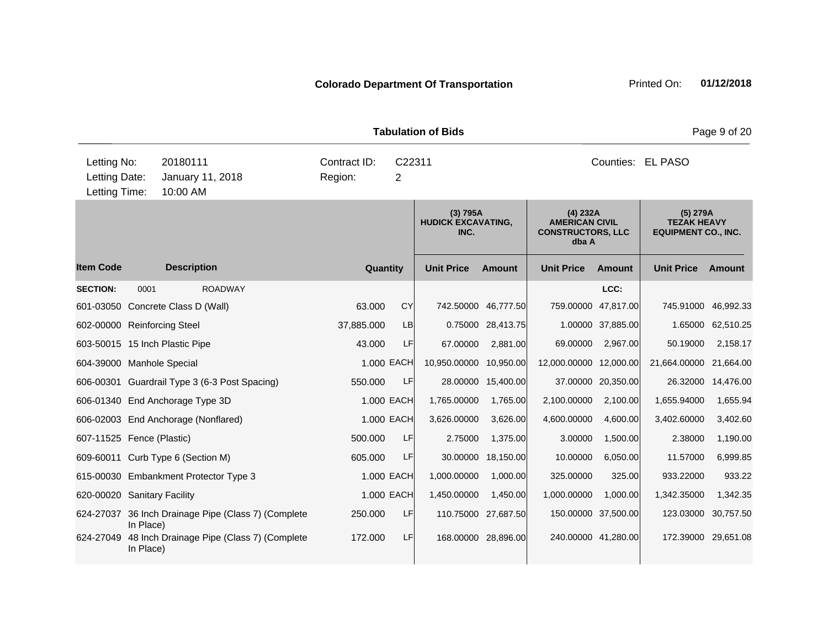|                                               |           |                                                     |                                               |            | <b>Tabulation of Bids</b> |                                                                          |                        |                                                              |                     | Page 9 of 20      |
|-----------------------------------------------|-----------|-----------------------------------------------------|-----------------------------------------------|------------|---------------------------|--------------------------------------------------------------------------|------------------------|--------------------------------------------------------------|---------------------|-------------------|
| Letting No:<br>Letting Date:<br>Letting Time: |           | 20180111<br>January 11, 2018<br>10:00 AM            | Contract ID:<br>C22311<br>Region:<br>2        |            |                           |                                                                          |                        |                                                              | Counties: EL PASO   |                   |
|                                               |           |                                                     | (3) 795A<br><b>HUDICK EXCAVATING,</b><br>INC. |            |                           | $(4)$ 232A<br><b>AMERICAN CIVIL</b><br><b>CONSTRUCTORS, LLC</b><br>dba A |                        | (5) 279A<br><b>TEZAK HEAVY</b><br><b>EQUIPMENT CO., INC.</b> |                     |                   |
| <b>Item Code</b>                              |           | <b>Description</b>                                  | Quantity                                      |            | <b>Unit Price</b>         | <b>Amount</b>                                                            | <b>Unit Price</b>      | Amount                                                       | <b>Unit Price</b>   | Amount            |
| <b>SECTION:</b>                               | 0001      | <b>ROADWAY</b>                                      |                                               |            |                           |                                                                          |                        | LCC:                                                         |                     |                   |
|                                               |           | 601-03050 Concrete Class D (Wall)                   | 63,000                                        | CY         |                           | 742.50000 46,777.50                                                      | 759.00000              | 47,817.00                                                    | 745.91000           | 46,992.33         |
| 602-00000 Reinforcing Steel                   |           |                                                     | 37,885.000                                    | LB         | 0.75000                   | 28,413.75                                                                | 1.00000                | 37,885.00                                                    |                     | 1.65000 62,510.25 |
|                                               |           | 603-50015 15 Inch Plastic Pipe                      | 43.000                                        | LF         | 67.00000                  | 2,881.00                                                                 | 69.00000               | 2,967.00                                                     | 50.19000            | 2,158.17          |
| 604-39000 Manhole Special                     |           |                                                     |                                               | 1.000 EACH | 10,950.00000              | 10,950.00                                                                | 12,000.00000 12,000.00 |                                                              | 21,664.00000        | 21,664.00         |
|                                               |           | 606-00301 Guardrail Type 3 (6-3 Post Spacing)       | 550.000                                       | LF         |                           | 28.00000 15,400.00                                                       |                        | 37.00000 20,350.00                                           | 26.32000            | 14,476.00         |
|                                               |           | 606-01340 End Anchorage Type 3D                     |                                               | 1.000 EACH | 1,765.00000               | 1,765.00                                                                 | 2,100.00000            | 2,100.00                                                     | 1,655.94000         | 1,655.94          |
|                                               |           | 606-02003 End Anchorage (Nonflared)                 |                                               | 1.000 EACH | 3,626.00000               | 3,626.00                                                                 | 4,600.00000            | 4,600.00                                                     | 3,402.60000         | 3,402.60          |
| 607-11525 Fence (Plastic)                     |           |                                                     | 500.000                                       | LF         | 2.75000                   | 1,375.00                                                                 | 3.00000                | 1,500.00                                                     | 2.38000             | 1,190.00          |
|                                               |           | 609-60011 Curb Type 6 (Section M)                   | 605.000                                       | LF         | 30.00000                  | 18,150.00                                                                | 10.00000               | 6,050.00                                                     | 11.57000            | 6,999.85          |
|                                               |           | 615-00030 Embankment Protector Type 3               |                                               | 1.000 EACH | 1,000.00000               | 1,000.00                                                                 | 325.00000              | 325.00                                                       | 933.22000           | 933.22            |
| 620-00020 Sanitary Facility                   |           |                                                     |                                               | 1.000 EACH | 1,450.00000               | 1,450.00                                                                 | 1,000.00000            | 1,000.00                                                     | 1,342.35000         | 1,342.35          |
|                                               | In Place) | 624-27037 36 Inch Drainage Pipe (Class 7) (Complete | 250.000                                       | LF         |                           | 110.75000 27,687.50                                                      | 150.00000 37,500.00    |                                                              | 123.03000           | 30,757.50         |
| 624-27049                                     | In Place) | 48 Inch Drainage Pipe (Class 7) (Complete           | 172.000                                       | LF         |                           | 168.00000 28,896.00                                                      | 240.00000 41,280.00    |                                                              | 172.39000 29,651.08 |                   |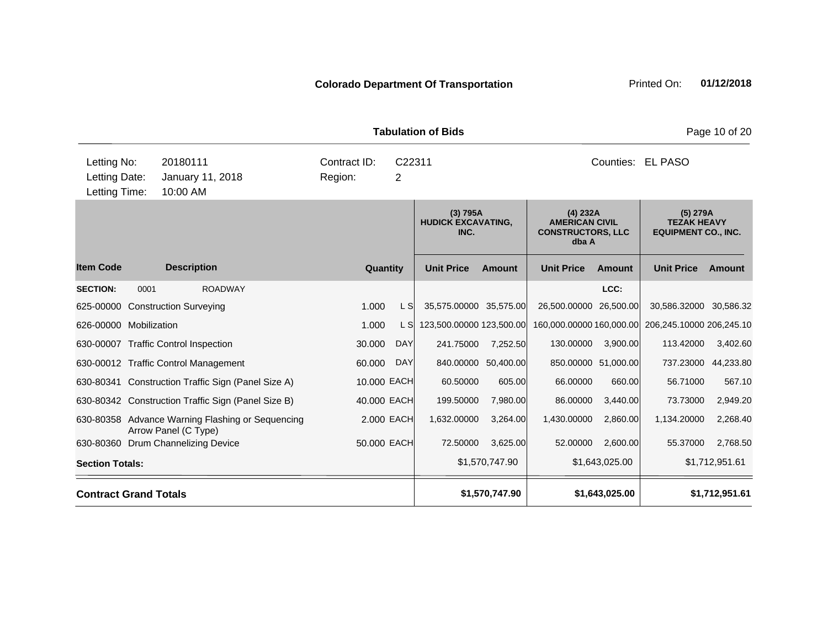|                                                                                                                                        |                              |                                                                          |             | <b>Tabulation of Bids</b> |                                               |                     | Page 10 of 20                                                          |                     |                                                              |                     |
|----------------------------------------------------------------------------------------------------------------------------------------|------------------------------|--------------------------------------------------------------------------|-------------|---------------------------|-----------------------------------------------|---------------------|------------------------------------------------------------------------|---------------------|--------------------------------------------------------------|---------------------|
| Letting No:<br>20180111<br>Contract ID:<br>Letting Date:<br>Region:<br>$\overline{2}$<br>January 11, 2018<br>Letting Time:<br>10:00 AM |                              |                                                                          |             |                           | C22311                                        |                     |                                                                        | Counties: EL PASO   |                                                              |                     |
|                                                                                                                                        |                              |                                                                          |             |                           | (3) 795A<br><b>HUDICK EXCAVATING,</b><br>INC. |                     | (4) 232A<br><b>AMERICAN CIVIL</b><br><b>CONSTRUCTORS, LLC</b><br>dba A |                     | (5) 279A<br><b>TEZAK HEAVY</b><br><b>EQUIPMENT CO., INC.</b> |                     |
| <b>Item Code</b>                                                                                                                       |                              | <b>Description</b>                                                       | Quantity    |                           | <b>Unit Price</b>                             | <b>Amount</b>       | <b>Unit Price</b>                                                      | <b>Amount</b>       | <b>Unit Price</b>                                            | Amount              |
| <b>SECTION:</b>                                                                                                                        | 0001                         | <b>ROADWAY</b>                                                           |             |                           |                                               |                     |                                                                        | LCC:                |                                                              |                     |
|                                                                                                                                        |                              | 625-00000 Construction Surveying                                         | 1.000       | L S                       | 35,575.00000 35,575.00                        |                     | 26,500.00000 26,500.00                                                 |                     | 30,586.32000 30,586.32                                       |                     |
| 626-00000 Mobilization                                                                                                                 |                              |                                                                          | 1.000       | L SI                      | 123,500.00000 123,500.00                      |                     | 160,000.00000 160,000.00                                               |                     | 206,245.10000 206,245.10                                     |                     |
|                                                                                                                                        |                              | 630-00007 Traffic Control Inspection                                     | 30.000      | <b>DAY</b>                | 241.75000                                     | 7,252.50            | 130.00000                                                              | 3,900.00            | 113.42000                                                    | 3,402.60            |
|                                                                                                                                        |                              | 630-00012 Traffic Control Management                                     | 60.000      | <b>DAY</b>                |                                               | 840.00000 50,400.00 |                                                                        | 850.00000 51,000.00 |                                                              | 737.23000 44,233.80 |
|                                                                                                                                        |                              | 630-80341 Construction Traffic Sign (Panel Size A)                       | 10.000 EACH |                           | 60.50000                                      | 605.00              | 66.00000                                                               | 660.00              | 56.71000                                                     | 567.10              |
|                                                                                                                                        |                              | 630-80342 Construction Traffic Sign (Panel Size B)                       | 40.000 EACH |                           | 199.50000                                     | 7,980.00            | 86.00000                                                               | 3,440.00            | 73.73000                                                     | 2,949.20            |
|                                                                                                                                        |                              | 630-80358 Advance Warning Flashing or Sequencing<br>Arrow Panel (C Type) | 2.000 EACH  |                           | 1,632.00000                                   | 3,264.00            | 1,430.00000                                                            | 2,860.00            | 1,134.20000                                                  | 2,268.40            |
| 630-80360                                                                                                                              |                              | Drum Channelizing Device                                                 | 50.000 EACH |                           | 72.50000                                      | 3,625.00            | 52.00000                                                               | 2,600.00            | 55.37000                                                     | 2,768.50            |
| <b>Section Totals:</b>                                                                                                                 |                              |                                                                          |             |                           | \$1,570,747.90                                |                     | \$1,643,025.00                                                         |                     | \$1,712,951.61                                               |                     |
|                                                                                                                                        | <b>Contract Grand Totals</b> |                                                                          |             |                           | \$1,570,747.90<br>\$1,643,025.00              |                     |                                                                        |                     | \$1,712,951.61                                               |                     |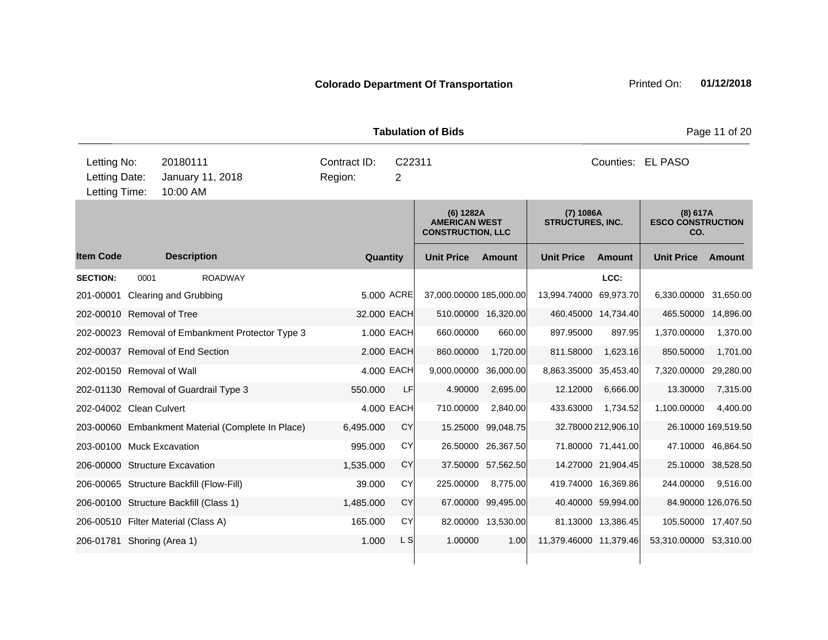|                                               |                                          |                                                   |                         |             | <b>Tabulation of Bids</b>                                     |                     |                                      |                     |                                             | Page 11 of 20       |  |
|-----------------------------------------------|------------------------------------------|---------------------------------------------------|-------------------------|-------------|---------------------------------------------------------------|---------------------|--------------------------------------|---------------------|---------------------------------------------|---------------------|--|
| Letting No:<br>Letting Date:<br>Letting Time: | 20180111<br>10:00 AM                     | January 11, 2018                                  | Contract ID:<br>Region: | C22311<br>2 |                                                               |                     | Counties: EL PASO                    |                     |                                             |                     |  |
|                                               |                                          |                                                   |                         |             | (6) 1282A<br><b>AMERICAN WEST</b><br><b>CONSTRUCTION, LLC</b> |                     | (7) 1086A<br><b>STRUCTURES, INC.</b> |                     | (8) 617A<br><b>ESCO CONSTRUCTION</b><br>CO. |                     |  |
| <b>Item Code</b>                              | <b>Description</b>                       |                                                   | Quantity                |             | <b>Unit Price</b>                                             | <b>Amount</b>       | <b>Unit Price</b>                    | <b>Amount</b>       | <b>Unit Price</b>                           | Amount              |  |
| <b>SECTION:</b>                               | 0001                                     | <b>ROADWAY</b>                                    |                         |             |                                                               |                     |                                      | LCC:                |                                             |                     |  |
|                                               | 201-00001 Clearing and Grubbing          |                                                   |                         | 5.000 ACRE  | 37,000.00000 185,000.00                                       |                     | 13,994.74000                         | 69,973.70           | 6,330.00000                                 | 31,650.00           |  |
|                                               | 202-00010 Removal of Tree                |                                                   | 32.000 EACH             |             |                                                               | 510.00000 16,320.00 |                                      | 460.45000 14,734.40 | 465.50000                                   | 14,896.00           |  |
|                                               |                                          | 202-00023 Removal of Embankment Protector Type 3  |                         | 1.000 EACH  | 660.00000                                                     | 660.00              | 897.95000                            | 897.95              | 1,370.00000                                 | 1,370.00            |  |
|                                               | 202-00037 Removal of End Section         |                                                   |                         | 2.000 EACH  | 860.00000                                                     | 1,720.00            | 811.58000                            | 1,623.16            | 850.50000                                   | 1,701.00            |  |
|                                               | 202-00150 Removal of Wall                |                                                   |                         | 4.000 EACH  | 9,000.00000                                                   | 36,000.00           | 8,863.35000 35,453.40                |                     | 7,320.00000                                 | 29,280.00           |  |
|                                               | 202-01130 Removal of Guardrail Type 3    |                                                   | 550.000                 | LF          | 4.90000                                                       | 2,695.00            | 12.12000                             | 6,666.00            | 13.30000                                    | 7,315.00            |  |
| 202-04002 Clean Culvert                       |                                          |                                                   |                         | 4.000 EACH  | 710.00000                                                     | 2,840.00            | 433.63000                            | 1,734.52            | 1,100.00000                                 | 4,400.00            |  |
|                                               |                                          | 203-00060 Embankment Material (Complete In Place) | 6,495.000               | CY          |                                                               | 15.25000 99,048.75  |                                      | 32.78000 212,906.10 |                                             | 26.10000 169,519.50 |  |
|                                               | 203-00100 Muck Excavation                |                                                   | 995.000                 | CY          |                                                               | 26.50000 26,367.50  |                                      | 71.80000 71,441.00  |                                             | 47.10000 46,864.50  |  |
|                                               | 206-00000 Structure Excavation           |                                                   | 1,535.000               | CY          |                                                               | 37.50000 57,562.50  |                                      | 14.27000 21,904.45  |                                             | 25.10000 38,528.50  |  |
|                                               | 206-00065 Structure Backfill (Flow-Fill) |                                                   | 39.000                  | CY          | 225.00000                                                     | 8,775.00            |                                      | 419.74000 16,369.86 | 244.00000                                   | 9,516.00            |  |
|                                               | 206-00100 Structure Backfill (Class 1)   |                                                   | 1,485.000               | CY          |                                                               | 67.00000 99,495.00  |                                      | 40.40000 59,994.00  |                                             | 84.90000 126,076.50 |  |
|                                               | 206-00510 Filter Material (Class A)      |                                                   | 165.000                 | CY          |                                                               | 82.00000 13,530.00  |                                      | 81.13000 13,386.45  | 105.50000 17,407.50                         |                     |  |
|                                               | 206-01781 Shoring (Area 1)               |                                                   | 1.000                   | L SI        | 1.00000                                                       | 1.00                | 11,379.46000 11,379.46               |                     | 53,310.00000 53,310.00                      |                     |  |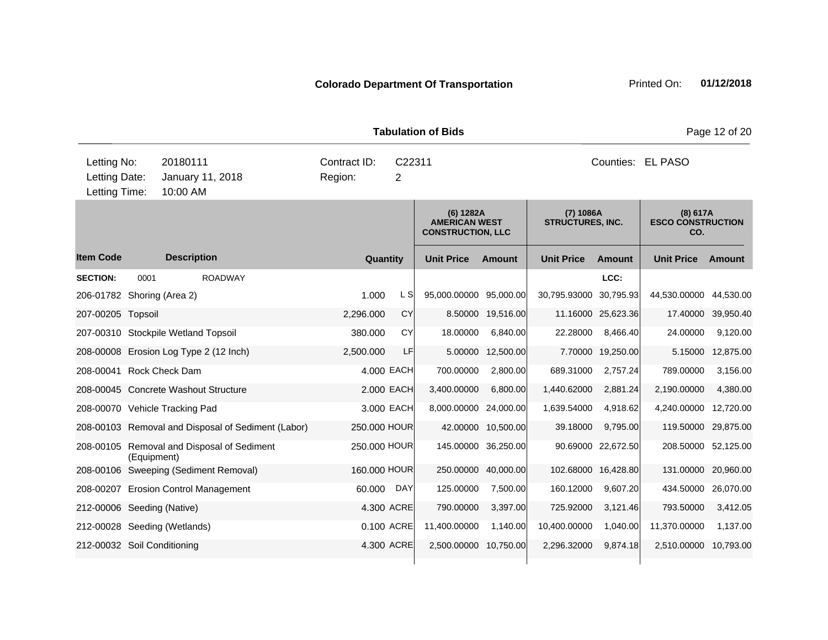|                                               |                                          |                                        |                                                    |              |                   |              | <b>Tabulation of Bids</b>                                     |               |                                      |                     |                                             | Page 12 of 20 |
|-----------------------------------------------|------------------------------------------|----------------------------------------|----------------------------------------------------|--------------|-------------------|--------------|---------------------------------------------------------------|---------------|--------------------------------------|---------------------|---------------------------------------------|---------------|
| Letting No:<br>Letting Date:<br>Letting Time: | 20180111<br>January 11, 2018<br>10:00 AM | Contract ID:<br>C22311<br>2<br>Region: |                                                    |              | Counties: EL PASO |              |                                                               |               |                                      |                     |                                             |               |
|                                               |                                          |                                        |                                                    |              |                   |              | (6) 1282A<br><b>AMERICAN WEST</b><br><b>CONSTRUCTION, LLC</b> |               | (7) 1086A<br><b>STRUCTURES, INC.</b> |                     | (8) 617A<br><b>ESCO CONSTRUCTION</b><br>CO. |               |
| <b>Item Code</b>                              |                                          | <b>Description</b>                     |                                                    |              | Quantity          |              | <b>Unit Price</b>                                             | <b>Amount</b> | <b>Unit Price</b>                    | <b>Amount</b>       | <b>Unit Price</b>                           | <b>Amount</b> |
| <b>SECTION:</b>                               | 0001                                     |                                        | <b>ROADWAY</b>                                     |              |                   |              |                                                               |               |                                      | LCC:                |                                             |               |
| 206-01782 Shoring (Area 2)                    |                                          |                                        |                                                    | 1.000        |                   | L SI         | 95,000.00000 95,000.00                                        |               | 30,795.93000 30,795.93               |                     | 44,530.00000                                | 44,530.00     |
| 207-00205 Topsoil                             |                                          |                                        |                                                    | 2,296.000    |                   | CY           | 8.50000                                                       | 19,516.00     |                                      | 11.16000 25,623.36  | 17.40000                                    | 39,950.40     |
| 207-00310 Stockpile Wetland Topsoil           |                                          |                                        |                                                    | 380.000      |                   | <b>CY</b>    | 18.00000                                                      | 6,840.00      | 22.28000                             | 8,466.40            | 24.00000                                    | 9,120.00      |
|                                               |                                          |                                        | 208-00008 Erosion Log Type 2 (12 Inch)             | 2,500.000    |                   | LF           | 5.00000                                                       | 12,500.00     |                                      | 7.70000 19,250.00   | 5.15000                                     | 12,875.00     |
| 208-00041 Rock Check Dam                      |                                          |                                        |                                                    |              |                   | 4.000 EACH   | 700.00000                                                     | 2,800.00      | 689.31000                            | 2,757.24            | 789.00000                                   | 3,156.00      |
| 208-00045 Concrete Washout Structure          |                                          |                                        |                                                    |              |                   | 2.000 EACH   | 3,400.00000                                                   | 6,800.00      | 1,440.62000                          | 2,881.24            | 2,190.00000                                 | 4,380.00      |
| 208-00070 Vehicle Tracking Pad                |                                          |                                        |                                                    |              |                   | 3.000 EACH   | 8,000.00000 24,000.00                                         |               | 1,639.54000                          | 4,918.62            | 4,240.00000                                 | 12,720.00     |
|                                               |                                          |                                        | 208-00103 Removal and Disposal of Sediment (Labor) | 250.000 HOUR |                   |              | 42.00000                                                      | 10,500.00     | 39.18000                             | 9,795.00            | 119.50000                                   | 29,875.00     |
|                                               | (Equipment)                              |                                        | 208-00105 Removal and Disposal of Sediment         |              |                   | 250.000 HOUR | 145.00000                                                     | 36,250.00     |                                      | 90.69000 22,672.50  | 208.50000                                   | 52,125.00     |
|                                               |                                          |                                        | 208-00106 Sweeping (Sediment Removal)              | 160.000 HOUR |                   |              | 250.00000                                                     | 40,000.00     |                                      | 102.68000 16,428.80 | 131.00000                                   | 20,960.00     |
|                                               |                                          |                                        | 208-00207 Erosion Control Management               | 60.000       |                   | DAY          | 125.00000                                                     | 7,500.00      | 160.12000                            | 9,607.20            | 434.50000                                   | 26,070.00     |
| 212-00006 Seeding (Native)                    |                                          |                                        |                                                    |              |                   | 4.300 ACRE   | 790.00000                                                     | 3,397.00      | 725.92000                            | 3,121.46            | 793.50000                                   | 3,412.05      |
| 212-00028 Seeding (Wetlands)                  |                                          |                                        |                                                    |              |                   | 0.100 ACRE   | 11,400.00000                                                  | 1,140.00      | 10,400.00000                         | 1,040.00            | 11,370.00000                                | 1,137.00      |
| 212-00032 Soil Conditioning                   |                                          |                                        |                                                    |              |                   | 4.300 ACRE   | 2,500.00000                                                   | 10,750.00     | 2,296.32000                          | 9,874.18            | 2,510.00000                                 | 10,793.00     |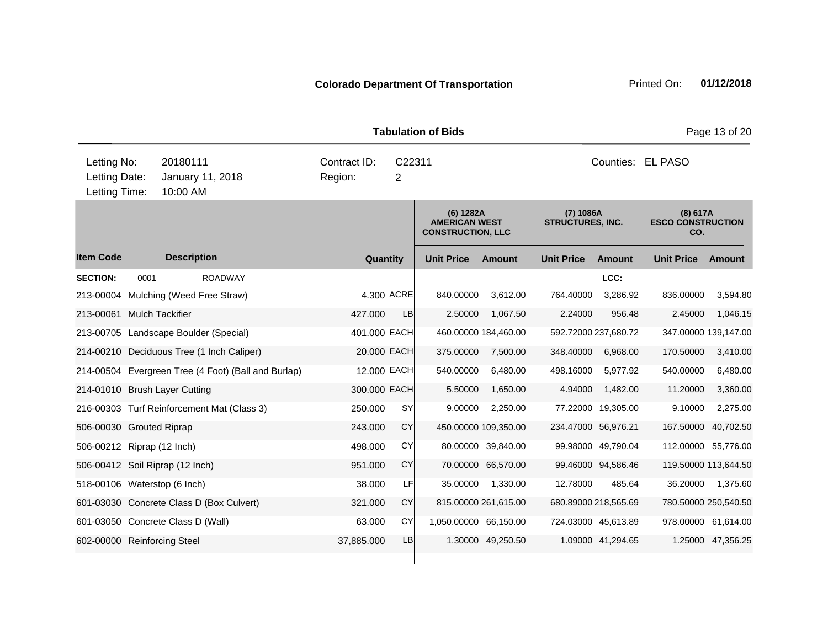|                                                                                           | <b>Tabulation of Bids</b><br>Page 13 of 20 |                    |                                                     |  |                                                     |             |                                                               |                      |                                      |                      |                                             |                   |  |  |
|-------------------------------------------------------------------------------------------|--------------------------------------------|--------------------|-----------------------------------------------------|--|-----------------------------------------------------|-------------|---------------------------------------------------------------|----------------------|--------------------------------------|----------------------|---------------------------------------------|-------------------|--|--|
| Letting No:<br>20180111<br>Letting Date:<br>January 11, 2018<br>Letting Time:<br>10:00 AM |                                            |                    |                                                     |  | Contract ID:<br>C22311<br>Region:<br>$\overline{2}$ |             |                                                               |                      |                                      | Counties: EL PASO    |                                             |                   |  |  |
|                                                                                           |                                            |                    |                                                     |  |                                                     |             | (6) 1282A<br><b>AMERICAN WEST</b><br><b>CONSTRUCTION, LLC</b> |                      | (7) 1086A<br><b>STRUCTURES, INC.</b> |                      | (8) 617A<br><b>ESCO CONSTRUCTION</b><br>CO. |                   |  |  |
| <b>Item Code</b>                                                                          |                                            | <b>Description</b> |                                                     |  |                                                     | Quantity    | <b>Unit Price</b>                                             | <b>Amount</b>        | <b>Unit Price</b>                    | <b>Amount</b>        | <b>Unit Price</b>                           | Amount            |  |  |
| <b>SECTION:</b>                                                                           | 0001                                       |                    | <b>ROADWAY</b>                                      |  |                                                     |             |                                                               |                      |                                      | LCC:                 |                                             |                   |  |  |
|                                                                                           |                                            |                    | 213-00004 Mulching (Weed Free Straw)                |  |                                                     | 4.300 ACRE  | 840.00000                                                     | 3.612.00             | 764.40000                            | 3,286.92             | 836.00000                                   | 3,594.80          |  |  |
| 213-00061 Mulch Tackifier                                                                 |                                            |                    |                                                     |  | 427.000                                             | <b>LB</b>   | 2.50000                                                       | 1,067.50             | 2.24000                              | 956.48               | 2.45000                                     | 1,046.15          |  |  |
|                                                                                           |                                            |                    | 213-00705 Landscape Boulder (Special)               |  | 401.000 EACH                                        |             |                                                               | 460.00000 184,460.00 |                                      | 592.72000 237,680.72 | 347.00000 139,147.00                        |                   |  |  |
|                                                                                           |                                            |                    | 214-00210 Deciduous Tree (1 Inch Caliper)           |  |                                                     | 20.000 EACH | 375.00000                                                     | 7,500.00             | 348.40000                            | 6,968.00             | 170.50000                                   | 3,410.00          |  |  |
|                                                                                           |                                            |                    | 214-00504 Evergreen Tree (4 Foot) (Ball and Burlap) |  |                                                     | 12.000 EACH | 540.00000                                                     | 6,480.00             | 498.16000                            | 5,977.92             | 540.00000                                   | 6,480.00          |  |  |
| 214-01010 Brush Layer Cutting                                                             |                                            |                    |                                                     |  | 300.000 EACH                                        |             | 5.50000                                                       | 1,650.00             | 4.94000                              | 1,482.00             | 11.20000                                    | 3,360.00          |  |  |
|                                                                                           |                                            |                    | 216-00303 Turf Reinforcement Mat (Class 3)          |  | 250.000                                             | <b>SY</b>   | 9.00000                                                       | 2,250.00             |                                      | 77.22000 19,305.00   | 9.10000                                     | 2,275.00          |  |  |
| 506-00030 Grouted Riprap                                                                  |                                            |                    |                                                     |  | 243.000                                             | CY          |                                                               | 450.00000 109,350.00 | 234.47000 56,976.21                  |                      | 167.50000                                   | 40,702.50         |  |  |
| 506-00212 Riprap (12 Inch)                                                                |                                            |                    |                                                     |  | 498.000                                             | CY          |                                                               | 80.00000 39,840.00   |                                      | 99.98000 49,790.04   | 112.00000 55,776.00                         |                   |  |  |
| 506-00412 Soil Riprap (12 Inch)                                                           |                                            |                    |                                                     |  | 951.000                                             | CY          |                                                               | 70.00000 66,570.00   |                                      | 99.46000 94,586.46   | 119.50000 113,644.50                        |                   |  |  |
| 518-00106 Waterstop (6 Inch)                                                              |                                            |                    |                                                     |  | 38,000                                              | LF          | 35.00000                                                      | 1,330.00             | 12.78000                             | 485.64               | 36.20000                                    | 1,375.60          |  |  |
|                                                                                           |                                            |                    | 601-03030 Concrete Class D (Box Culvert)            |  | 321.000                                             | <b>CY</b>   |                                                               | 815.00000 261,615.00 |                                      | 680.89000 218,565.69 | 780.50000 250,540.50                        |                   |  |  |
| 601-03050 Concrete Class D (Wall)                                                         |                                            |                    |                                                     |  | 63.000                                              | CY          | 1,050.00000 66,150.00                                         |                      |                                      | 724.03000 45,613.89  | 978.00000 61,614.00                         |                   |  |  |
| 602-00000 Reinforcing Steel                                                               |                                            |                    |                                                     |  | 37,885.000                                          | LB          |                                                               | 1.30000 49,250.50    |                                      | 1.09000 41,294.65    |                                             | 1.25000 47,356.25 |  |  |
|                                                                                           |                                            |                    |                                                     |  |                                                     |             |                                                               |                      |                                      |                      |                                             |                   |  |  |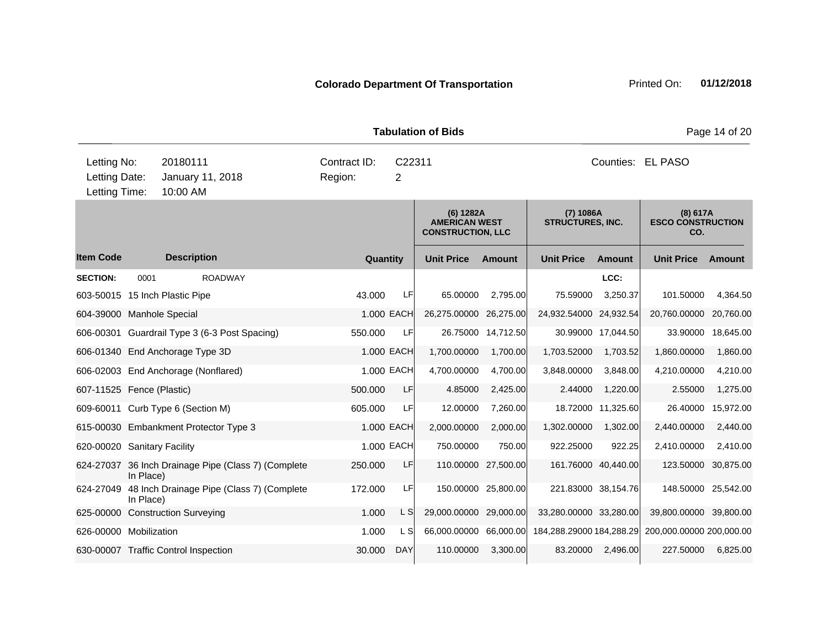|                                                                                           |           |                    |                                                     |                         |             | <b>Tabulation of Bids</b>                                     |                     |                                      |                    |                                             | Page 14 of 20 |  |
|-------------------------------------------------------------------------------------------|-----------|--------------------|-----------------------------------------------------|-------------------------|-------------|---------------------------------------------------------------|---------------------|--------------------------------------|--------------------|---------------------------------------------|---------------|--|
| Letting No:<br>20180111<br>Letting Date:<br>January 11, 2018<br>Letting Time:<br>10:00 AM |           |                    |                                                     | Contract ID:<br>Region: | C22311<br>2 |                                                               |                     | Counties: EL PASO                    |                    |                                             |               |  |
|                                                                                           |           |                    |                                                     |                         |             | (6) 1282A<br><b>AMERICAN WEST</b><br><b>CONSTRUCTION, LLC</b> |                     | (7) 1086A<br><b>STRUCTURES, INC.</b> |                    | (8) 617A<br><b>ESCO CONSTRUCTION</b><br>CO. |               |  |
| <b>Item Code</b>                                                                          |           | <b>Description</b> |                                                     |                         | Quantity    | <b>Unit Price</b>                                             | <b>Amount</b>       | <b>Unit Price</b>                    | <b>Amount</b>      | <b>Unit Price</b>                           | Amount        |  |
| <b>SECTION:</b>                                                                           | 0001      |                    | <b>ROADWAY</b>                                      |                         |             |                                                               |                     |                                      | LCC:               |                                             |               |  |
| 603-50015 15 Inch Plastic Pipe                                                            |           |                    |                                                     | 43.000                  | LF          | 65.00000                                                      | 2,795.00            | 75.59000                             | 3,250.37           | 101.50000                                   | 4,364.50      |  |
| 604-39000 Manhole Special                                                                 |           |                    |                                                     |                         | 1.000 EACH  | 26,275.00000                                                  | 26,275.00           | 24,932.54000                         | 24,932.54          | 20,760.00000                                | 20,760.00     |  |
|                                                                                           |           |                    | 606-00301 Guardrail Type 3 (6-3 Post Spacing)       | 550.000                 | LF          |                                                               | 26.75000 14,712.50  |                                      | 30.99000 17,044.50 | 33.90000                                    | 18,645.00     |  |
| 606-01340 End Anchorage Type 3D                                                           |           |                    |                                                     |                         | 1.000 EACH  | 1,700.00000                                                   | 1,700.00            | 1,703.52000                          | 1,703.52           | 1,860.00000                                 | 1,860.00      |  |
| 606-02003 End Anchorage (Nonflared)                                                       |           |                    |                                                     |                         | 1.000 EACH  | 4,700.00000                                                   | 4,700.00            | 3,848.00000                          | 3,848.00           | 4,210.00000                                 | 4,210.00      |  |
| 607-11525 Fence (Plastic)                                                                 |           |                    |                                                     | 500,000                 | LF          | 4.85000                                                       | 2,425.00            | 2.44000                              | 1,220.00           | 2.55000                                     | 1,275.00      |  |
| 609-60011 Curb Type 6 (Section M)                                                         |           |                    |                                                     | 605.000                 | LF          | 12.00000                                                      | 7,260.00            | 18.72000                             | 11,325.60          | 26.40000                                    | 15,972.00     |  |
|                                                                                           |           |                    | 615-00030 Embankment Protector Type 3               |                         | 1.000 EACH  | 2,000.00000                                                   | 2,000.00            | 1,302.00000                          | 1,302.00           | 2,440.00000                                 | 2,440.00      |  |
| 620-00020 Sanitary Facility                                                               |           |                    |                                                     |                         | 1.000 EACH  | 750.00000                                                     | 750.00              | 922.25000                            | 922.25             | 2,410.00000                                 | 2,410.00      |  |
| 624-27037                                                                                 | In Place) |                    | 36 Inch Drainage Pipe (Class 7) (Complete           | 250,000                 | LF          |                                                               | 110.00000 27,500.00 | 161.76000 40,440.00                  |                    | 123.50000                                   | 30,875.00     |  |
|                                                                                           | In Place) |                    | 624-27049 48 Inch Drainage Pipe (Class 7) (Complete | 172.000                 | LF          |                                                               | 150.00000 25,800.00 | 221.83000 38,154.76                  |                    | 148.50000                                   | 25,542.00     |  |
| 625-00000 Construction Surveying                                                          |           |                    |                                                     | 1.000                   | L S         | 29,000.00000                                                  | 29,000.00           | 33,280.00000 33,280.00               |                    | 39,800.00000                                | 39,800.00     |  |
| 626-00000 Mobilization                                                                    |           |                    |                                                     | 1.000                   | L S         | 66,000.00000 66,000.00                                        |                     | 184,288.29000 184,288.29             |                    | 200,000.00000 200,000.00                    |               |  |
| 630-00007 Traffic Control Inspection                                                      |           |                    |                                                     | 30.000                  | <b>DAY</b>  | 110.00000                                                     | 3,300.00            | 83.20000                             | 2,496.00           | 227.50000                                   | 6,825.00      |  |
|                                                                                           |           |                    |                                                     |                         |             |                                                               |                     |                                      |                    |                                             |               |  |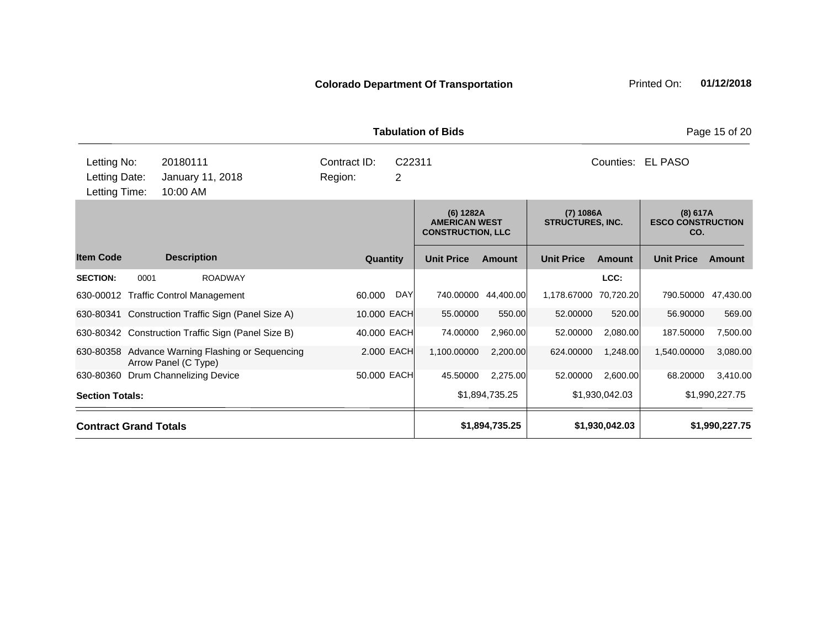|                                               |      |                                                                |             |             | <b>Tabulation of Bids</b>                                     |                     |                                        |                   |                                             | Page 15 of 20  |
|-----------------------------------------------|------|----------------------------------------------------------------|-------------|-------------|---------------------------------------------------------------|---------------------|----------------------------------------|-------------------|---------------------------------------------|----------------|
| Letting No:<br>Letting Date:<br>Letting Time: |      | 20180111<br>January 11, 2018<br>10:00 AM                       | C22311<br>2 |             |                                                               |                     |                                        | Counties: EL PASO |                                             |                |
|                                               |      |                                                                |             |             | (6) 1282A<br><b>AMERICAN WEST</b><br><b>CONSTRUCTION, LLC</b> |                     | $(7)$ 1086A<br><b>STRUCTURES, INC.</b> |                   | (8) 617A<br><b>ESCO CONSTRUCTION</b><br>CO. |                |
| <b>Item Code</b>                              |      | <b>Description</b>                                             | Quantity    |             | <b>Unit Price</b>                                             | <b>Amount</b>       | <b>Unit Price</b>                      | Amount            | <b>Unit Price</b>                           | <b>Amount</b>  |
| <b>SECTION:</b>                               | 0001 | <b>ROADWAY</b>                                                 |             |             |                                                               |                     |                                        | LCC:              |                                             |                |
|                                               |      | 630-00012 Traffic Control Management                           | 60.000      | DAY         |                                                               | 740.00000 44,400.00 | 1,178.67000                            | 70,720.20         | 790.50000                                   | 47,430.00      |
| 630-80341                                     |      | Construction Traffic Sign (Panel Size A)                       |             | 10.000 EACH | 55.00000                                                      | 550.00              | 52.00000                               | 520.00            | 56.90000                                    | 569.00         |
|                                               |      | 630-80342 Construction Traffic Sign (Panel Size B)             |             | 40.000 EACH | 74.00000                                                      | 2,960.00            | 52.00000                               | 2,080.00          | 187.50000                                   | 7,500.00       |
| 630-80358                                     |      | Advance Warning Flashing or Sequencing<br>Arrow Panel (C Type) |             | 2.000 EACH  | 1,100.00000                                                   | 2,200.00            | 624.00000                              | 1,248.00          | 1,540.00000                                 | 3,080.00       |
| 630-80360                                     |      | Drum Channelizing Device                                       |             | 50.000 EACH | 45.50000                                                      | 2,275.00            | 52.00000                               | 2,600.00          | 68.20000                                    | 3,410.00       |
| <b>Section Totals:</b>                        |      |                                                                |             |             |                                                               | \$1,894,735.25      |                                        | \$1,930,042.03    |                                             | \$1,990,227.75 |
| <b>Contract Grand Totals</b>                  |      |                                                                |             |             |                                                               | \$1,894,735.25      |                                        | \$1,930,042.03    | \$1,990,227.75                              |                |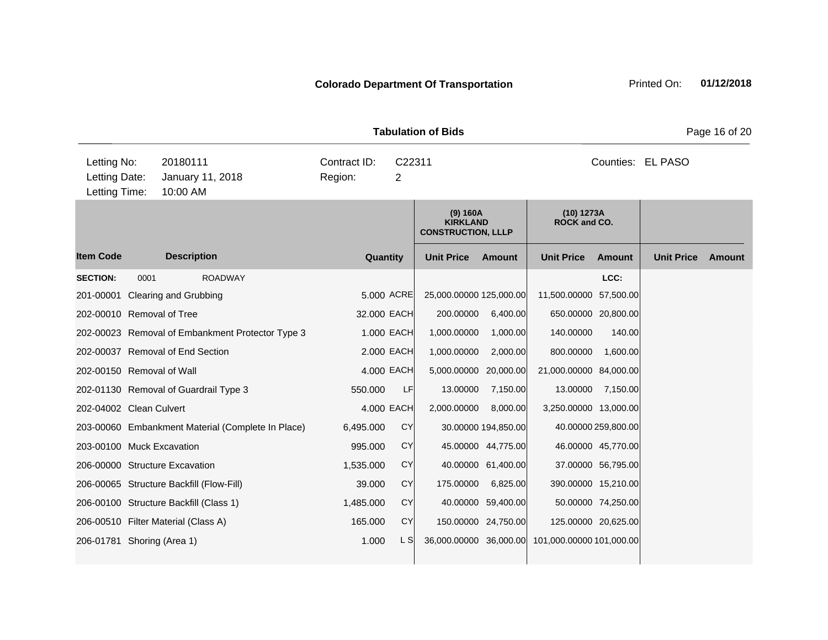|                                               |      |                                                   |                         |                          | <b>Tabulation of Bids</b>                                |                     |                                                 |                     |                   | Page 16 of 20 |
|-----------------------------------------------|------|---------------------------------------------------|-------------------------|--------------------------|----------------------------------------------------------|---------------------|-------------------------------------------------|---------------------|-------------------|---------------|
| Letting No:<br>Letting Date:<br>Letting Time: |      | 20180111<br>January 11, 2018<br>10:00 AM          | Contract ID:<br>Region: | C22311<br>$\overline{2}$ |                                                          |                     |                                                 |                     | Counties: EL PASO |               |
|                                               |      |                                                   |                         |                          | (9) 160A<br><b>KIRKLAND</b><br><b>CONSTRUCTION, LLLP</b> |                     | (10) 1273A<br><b>ROCK and CO.</b>               |                     |                   |               |
| <b>Item Code</b>                              |      | <b>Description</b>                                | Quantity                |                          | <b>Unit Price</b>                                        | Amount              | <b>Unit Price</b>                               | <b>Amount</b>       | <b>Unit Price</b> | <b>Amount</b> |
| <b>SECTION:</b>                               | 0001 | <b>ROADWAY</b>                                    |                         |                          |                                                          |                     |                                                 | LCC:                |                   |               |
| 201-00001                                     |      | Clearing and Grubbing                             |                         | 5.000 ACRE               | 25,000.00000 125,000.00                                  |                     | 11,500.00000                                    | 57,500.00           |                   |               |
| 202-00010 Removal of Tree                     |      |                                                   | 32.000 EACH             |                          | 200.00000                                                | 6,400.00            |                                                 | 650.00000 20,800.00 |                   |               |
|                                               |      | 202-00023 Removal of Embankment Protector Type 3  |                         | 1.000 EACH               | 1,000.00000                                              | 1,000.00            | 140.00000                                       | 140.00              |                   |               |
|                                               |      | 202-00037 Removal of End Section                  | 2.000 EACH              |                          | 1,000.00000                                              | 2,000.00            | 800.00000                                       | 1,600.00            |                   |               |
| 202-00150 Removal of Wall                     |      |                                                   | 4,000 EACH              |                          | 5,000.00000                                              | 20,000.00           | 21,000.00000 84,000.00                          |                     |                   |               |
|                                               |      | 202-01130 Removal of Guardrail Type 3             | 550.000                 | LF                       | 13.00000                                                 | 7,150.00            | 13.00000                                        | 7,150.00            |                   |               |
| 202-04002 Clean Culvert                       |      |                                                   |                         | 4,000 EACH               | 2,000.00000                                              | 8,000.00            | 3,250.00000 13,000.00                           |                     |                   |               |
|                                               |      | 203-00060 Embankment Material (Complete In Place) | 6,495.000               | <b>CY</b>                |                                                          | 30.00000 194,850.00 |                                                 | 40.00000 259,800.00 |                   |               |
| 203-00100 Muck Excavation                     |      |                                                   | 995.000                 | <b>CY</b>                |                                                          | 45.00000 44,775.00  |                                                 | 46.00000 45,770.00  |                   |               |
|                                               |      | 206-00000 Structure Excavation                    | 1,535.000               | <b>CY</b>                |                                                          | 40.00000 61,400.00  |                                                 | 37.00000 56,795.00  |                   |               |
|                                               |      | 206-00065 Structure Backfill (Flow-Fill)          | 39.000                  | <b>CY</b>                | 175.00000                                                | 6,825.00            |                                                 | 390.00000 15,210.00 |                   |               |
|                                               |      | 206-00100 Structure Backfill (Class 1)            | 1,485.000               | <b>CY</b>                |                                                          | 40.00000 59,400.00  |                                                 | 50.00000 74,250.00  |                   |               |
|                                               |      | 206-00510 Filter Material (Class A)               | 165.000                 | <b>CY</b>                |                                                          | 150.00000 24,750.00 |                                                 | 125.00000 20,625.00 |                   |               |
| 206-01781 Shoring (Area 1)                    |      |                                                   | 1.000                   | L S                      |                                                          |                     | 36,000.00000 36,000.00 101,000.00000 101,000.00 |                     |                   |               |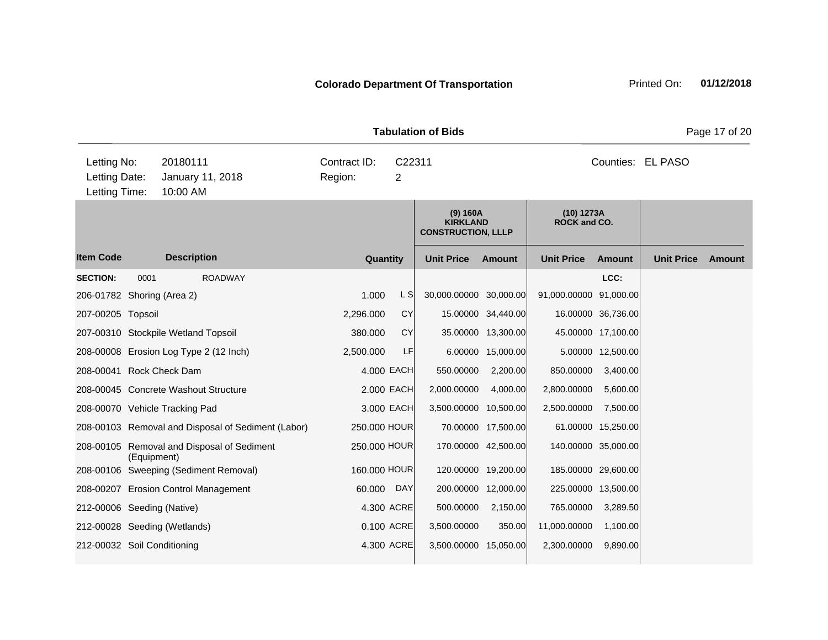|                                               |             |                                                    |                         |                          | <b>Tabulation of Bids</b>                                |                     |                            |                     |                   | Page 17 of 20 |
|-----------------------------------------------|-------------|----------------------------------------------------|-------------------------|--------------------------|----------------------------------------------------------|---------------------|----------------------------|---------------------|-------------------|---------------|
| Letting No:<br>Letting Date:<br>Letting Time: |             | 20180111<br>January 11, 2018<br>10:00 AM           | Contract ID:<br>Region: | C22311<br>$\overline{2}$ |                                                          |                     | Counties: EL PASO          |                     |                   |               |
|                                               |             |                                                    |                         |                          | (9) 160A<br><b>KIRKLAND</b><br><b>CONSTRUCTION, LLLP</b> |                     | (10) 1273A<br>ROCK and CO. |                     |                   |               |
| <b>Item Code</b>                              |             | <b>Description</b>                                 |                         | Quantity                 | <b>Unit Price</b>                                        | Amount              | <b>Unit Price</b>          | <b>Amount</b>       | <b>Unit Price</b> | <b>Amount</b> |
| <b>SECTION:</b>                               | 0001        | <b>ROADWAY</b>                                     |                         |                          |                                                          |                     |                            | LCC:                |                   |               |
| 206-01782 Shoring (Area 2)                    |             |                                                    | 1.000                   | L S                      | 30,000.00000 30,000.00                                   |                     | 91,000.00000 91,000.00     |                     |                   |               |
| 207-00205 Topsoil                             |             |                                                    | 2,296.000               | <b>CY</b>                |                                                          | 15.00000 34,440.00  |                            | 16.00000 36,736.00  |                   |               |
|                                               |             | 207-00310 Stockpile Wetland Topsoil                | 380.000                 | <b>CY</b>                |                                                          | 35.00000 13,300.00  |                            | 45.00000 17,100.00  |                   |               |
|                                               |             | 208-00008 Erosion Log Type 2 (12 Inch)             | 2,500.000               | LF                       |                                                          | 6.00000 15,000.00   |                            | 5.00000 12,500.00   |                   |               |
| 208-00041 Rock Check Dam                      |             |                                                    |                         | 4.000 EACH               | 550.00000                                                | 2,200.00            | 850.00000                  | 3,400.00            |                   |               |
|                                               |             | 208-00045 Concrete Washout Structure               |                         | 2,000 EACH               | 2,000.00000                                              | 4,000.00            | 2,800.00000                | 5,600.00            |                   |               |
|                                               |             | 208-00070 Vehicle Tracking Pad                     |                         | 3.000 EACH               | 3,500.00000 10,500.00                                    |                     | 2,500.00000                | 7,500.00            |                   |               |
|                                               |             | 208-00103 Removal and Disposal of Sediment (Labor) | 250.000 HOUR            |                          |                                                          | 70.00000 17,500.00  |                            | 61.00000 15,250.00  |                   |               |
|                                               | (Equipment) | 208-00105 Removal and Disposal of Sediment         | 250.000 HOUR            |                          |                                                          | 170.00000 42,500.00 |                            | 140.00000 35,000.00 |                   |               |
|                                               |             | 208-00106 Sweeping (Sediment Removal)              | 160.000 HOUR            |                          |                                                          | 120.00000 19,200.00 |                            | 185.00000 29,600.00 |                   |               |
|                                               |             | 208-00207 Erosion Control Management               | 60.000                  | <b>DAY</b>               |                                                          | 200.00000 12,000.00 |                            | 225.00000 13,500.00 |                   |               |
| 212-00006 Seeding (Native)                    |             |                                                    |                         | 4.300 ACRE               | 500.00000                                                | 2,150.00            | 765.00000                  | 3,289.50            |                   |               |
|                                               |             | 212-00028 Seeding (Wetlands)                       |                         | 0.100 ACRE               | 3,500.00000                                              | 350.00              | 11,000.00000               | 1,100.00            |                   |               |
| 212-00032 Soil Conditioning                   |             |                                                    |                         | 4.300 ACRE               | 3,500.00000 15,050.00                                    |                     | 2,300.00000                | 9,890.00            |                   |               |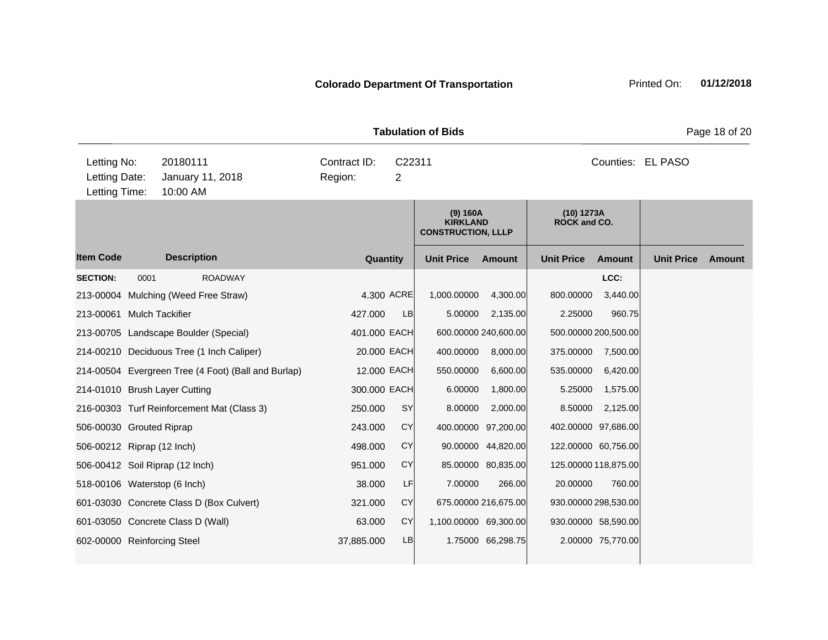|                                               |      |                                                     |                         |             | <b>Tabulation of Bids</b>                                |                      |                                   |                      |                   | Page 18 of 20 |
|-----------------------------------------------|------|-----------------------------------------------------|-------------------------|-------------|----------------------------------------------------------|----------------------|-----------------------------------|----------------------|-------------------|---------------|
| Letting No:<br>Letting Date:<br>Letting Time: |      | 20180111<br>January 11, 2018<br>10:00 AM            | Contract ID:<br>Region: | C22311<br>2 |                                                          |                      |                                   |                      | Counties: EL PASO |               |
|                                               |      |                                                     |                         |             | (9) 160A<br><b>KIRKLAND</b><br><b>CONSTRUCTION, LLLP</b> |                      | (10) 1273A<br><b>ROCK and CO.</b> |                      |                   |               |
| <b>Item Code</b>                              |      | <b>Description</b>                                  | Quantity                |             | <b>Unit Price</b>                                        | Amount               | <b>Unit Price</b>                 | <b>Amount</b>        | <b>Unit Price</b> | <b>Amount</b> |
| <b>SECTION:</b>                               | 0001 | <b>ROADWAY</b>                                      |                         |             |                                                          |                      |                                   | LCC:                 |                   |               |
|                                               |      | 213-00004 Mulching (Weed Free Straw)                |                         | 4.300 ACRE  | 1,000.00000                                              | 4,300.00             | 800.00000                         | 3,440.00             |                   |               |
| 213-00061 Mulch Tackifier                     |      |                                                     | 427.000                 | LB          | 5.00000                                                  | 2,135.00             | 2.25000                           | 960.75               |                   |               |
|                                               |      | 213-00705 Landscape Boulder (Special)               | 401.000 EACH            |             |                                                          | 600.00000 240,600.00 |                                   | 500.00000 200,500.00 |                   |               |
|                                               |      | 214-00210 Deciduous Tree (1 Inch Caliper)           | 20.000 EACH             |             | 400.00000                                                | 8,000.00             | 375.00000                         | 7,500.00             |                   |               |
|                                               |      | 214-00504 Evergreen Tree (4 Foot) (Ball and Burlap) | 12.000 EACH             |             | 550.00000                                                | 6,600.00             | 535.00000                         | 6,420.00             |                   |               |
|                                               |      | 214-01010 Brush Layer Cutting                       | 300.000 EACH            |             | 6.00000                                                  | 1,800.00             | 5.25000                           | 1,575.00             |                   |               |
|                                               |      | 216-00303 Turf Reinforcement Mat (Class 3)          | 250.000                 | <b>SY</b>   | 8.00000                                                  | 2,000.00             | 8.50000                           | 2,125.00             |                   |               |
| 506-00030 Grouted Riprap                      |      |                                                     | 243.000                 | <b>CY</b>   |                                                          | 400.00000 97,200.00  |                                   | 402.00000 97,686.00  |                   |               |
| 506-00212 Riprap (12 Inch)                    |      |                                                     | 498.000                 | <b>CY</b>   |                                                          | 90.00000 44,820.00   |                                   | 122.00000 60,756.00  |                   |               |
|                                               |      | 506-00412 Soil Riprap (12 Inch)                     | 951.000                 | <b>CY</b>   |                                                          | 85.00000 80,835.00   |                                   | 125.00000 118,875.00 |                   |               |
| 518-00106 Waterstop (6 Inch)                  |      |                                                     | 38.000                  | LF          | 7.00000                                                  | 266.00               | 20.00000                          | 760.00               |                   |               |
|                                               |      | 601-03030 Concrete Class D (Box Culvert)            | 321.000                 | <b>CY</b>   |                                                          | 675.00000 216,675.00 |                                   | 930.00000 298,530.00 |                   |               |
|                                               |      | 601-03050 Concrete Class D (Wall)                   | 63.000                  | <b>CY</b>   | 1,100.00000 69,300.00                                    |                      |                                   | 930.00000 58,590.00  |                   |               |
| 602-00000 Reinforcing Steel                   |      |                                                     | 37,885.000              | LB          |                                                          | 1.75000 66,298.75    |                                   | 2.00000 75,770.00    |                   |               |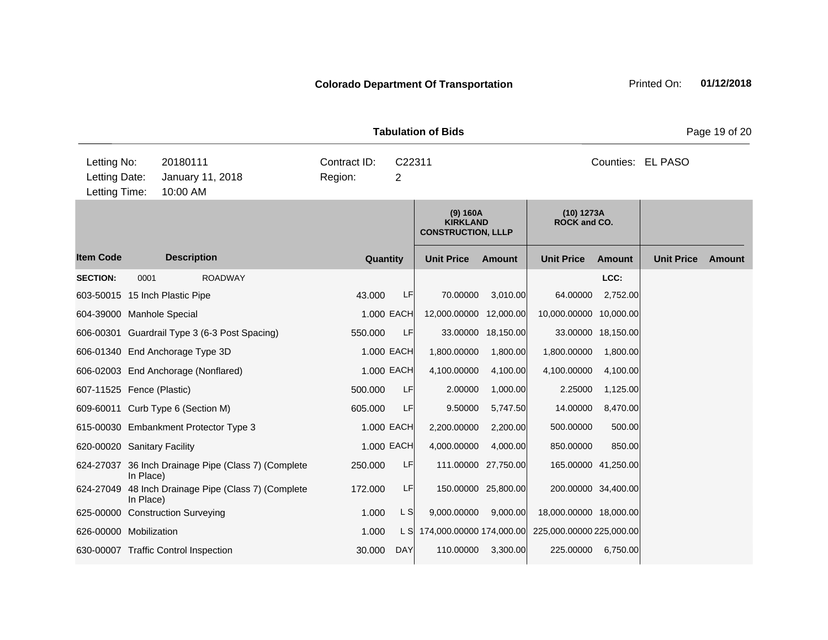|                                               |           |                                          |                                                     |                                                     |            | <b>Tabulation of Bids</b>                                |                     |                                   |                     |                   | Page 19 of 20 |
|-----------------------------------------------|-----------|------------------------------------------|-----------------------------------------------------|-----------------------------------------------------|------------|----------------------------------------------------------|---------------------|-----------------------------------|---------------------|-------------------|---------------|
| Letting No:<br>Letting Date:<br>Letting Time: |           | 20180111<br>January 11, 2018<br>10:00 AM |                                                     | Contract ID:<br>C22311<br>Region:<br>$\overline{2}$ |            |                                                          |                     | Counties: EL PASO                 |                     |                   |               |
|                                               |           |                                          |                                                     |                                                     |            | (9) 160A<br><b>KIRKLAND</b><br><b>CONSTRUCTION, LLLP</b> |                     | (10) 1273A<br><b>ROCK and CO.</b> |                     |                   |               |
| <b>Item Code</b>                              |           | <b>Description</b>                       |                                                     | Quantity                                            |            | <b>Unit Price</b>                                        | Amount              | <b>Unit Price</b>                 | Amount              | <b>Unit Price</b> | Amount        |
| <b>SECTION:</b>                               | 0001      |                                          | <b>ROADWAY</b>                                      |                                                     |            |                                                          |                     |                                   | LCC:                |                   |               |
|                                               |           | 603-50015 15 Inch Plastic Pipe           |                                                     | 43.000                                              | LF         | 70.00000                                                 | 3,010.00            | 64.00000                          | 2,752.00            |                   |               |
| 604-39000 Manhole Special                     |           |                                          |                                                     |                                                     | 1.000 EACH | 12,000.00000 12,000.00                                   |                     | 10,000.00000 10,000.00            |                     |                   |               |
|                                               |           |                                          | 606-00301 Guardrail Type 3 (6-3 Post Spacing)       | 550.000                                             | LF         | 33.00000                                                 | 18,150.00           |                                   | 33.00000 18,150.00  |                   |               |
|                                               |           | 606-01340 End Anchorage Type 3D          |                                                     |                                                     | 1.000 EACH | 1,800.00000                                              | 1,800.00            | 1,800.00000                       | 1,800.00            |                   |               |
|                                               |           | 606-02003 End Anchorage (Nonflared)      |                                                     |                                                     | 1.000 EACH | 4,100.00000                                              | 4,100.00            | 4,100.00000                       | 4,100.00            |                   |               |
| 607-11525 Fence (Plastic)                     |           |                                          |                                                     | 500.000                                             | LF         | 2.00000                                                  | 1,000.00            | 2.25000                           | 1,125.00            |                   |               |
|                                               |           | 609-60011 Curb Type 6 (Section M)        |                                                     | 605.000                                             | LF         | 9.50000                                                  | 5,747.50            | 14.00000                          | 8,470.00            |                   |               |
|                                               |           | 615-00030 Embankment Protector Type 3    |                                                     |                                                     | 1.000 EACH | 2,200.00000                                              | 2,200.00            | 500.00000                         | 500.00              |                   |               |
| 620-00020 Sanitary Facility                   |           |                                          |                                                     |                                                     | 1.000 EACH | 4,000.00000                                              | 4,000.00            | 850.00000                         | 850.00              |                   |               |
|                                               | In Place) |                                          | 624-27037 36 Inch Drainage Pipe (Class 7) (Complete | 250.000                                             | LF         |                                                          | 111.00000 27,750.00 |                                   | 165.00000 41,250.00 |                   |               |
| 624-27049                                     | In Place) |                                          | 48 Inch Drainage Pipe (Class 7) (Complete           | 172.000                                             | LF         |                                                          | 150.00000 25,800.00 |                                   | 200.00000 34,400.00 |                   |               |
|                                               |           | 625-00000 Construction Surveying         |                                                     | 1.000                                               | L S        | 9,000.00000                                              | 9,000.00            | 18,000.00000 18,000.00            |                     |                   |               |
| 626-00000 Mobilization                        |           |                                          |                                                     | 1.000                                               |            | L S 174,000.00000 174,000.00                             |                     | 225,000.00000 225,000.00          |                     |                   |               |
|                                               |           | 630-00007 Traffic Control Inspection     |                                                     | 30.000                                              | <b>DAY</b> | 110.00000                                                | 3,300.00            | 225.00000                         | 6,750.00            |                   |               |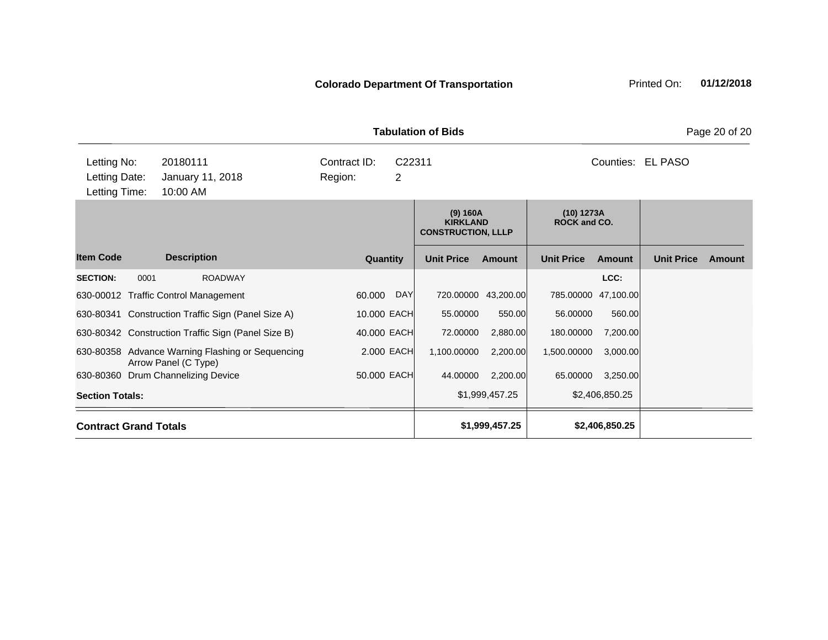| <b>Tabulation of Bids</b> | Pa                                   |
|---------------------------|--------------------------------------|
| Contract $ID: C22311$     | $C$ $\Omega$ unties: El DAS $\Omega$ |

| Letting No:                  | 20180111<br>Contract ID:  |                                                                          |             |     | C22311                                                   |                     |                            |                     | Counties: EL PASO |        |
|------------------------------|---------------------------|--------------------------------------------------------------------------|-------------|-----|----------------------------------------------------------|---------------------|----------------------------|---------------------|-------------------|--------|
| Letting Date:                |                           | January 11, 2018                                                         | Region:     | 2   |                                                          |                     |                            |                     |                   |        |
|                              | 10:00 AM<br>Letting Time: |                                                                          |             |     |                                                          |                     |                            |                     |                   |        |
|                              |                           |                                                                          |             |     | (9) 160A<br><b>KIRKLAND</b><br><b>CONSTRUCTION, LLLP</b> |                     | (10) 1273A<br>ROCK and CO. |                     |                   |        |
| <b>Item Code</b>             |                           | <b>Description</b>                                                       | Quantity    |     | <b>Unit Price</b>                                        | <b>Amount</b>       | <b>Unit Price</b>          | Amount              | <b>Unit Price</b> | Amount |
| <b>SECTION:</b>              | 0001                      | <b>ROADWAY</b>                                                           |             |     |                                                          |                     |                            | LCC:                |                   |        |
|                              |                           | 630-00012 Traffic Control Management                                     | 60.000      | DAY |                                                          | 720.00000 43,200.00 |                            | 785.00000 47,100.00 |                   |        |
|                              |                           | 630-80341 Construction Traffic Sign (Panel Size A)                       | 10.000 EACH |     | 55.00000                                                 | 550.00              | 56.00000                   | 560.00              |                   |        |
|                              |                           | 630-80342 Construction Traffic Sign (Panel Size B)                       | 40.000 EACH |     | 72.00000                                                 | 2,880.00            | 180.00000                  | 7,200.00            |                   |        |
|                              |                           | 630-80358 Advance Warning Flashing or Sequencing<br>Arrow Panel (C Type) | 2.000 EACH  |     | 1,100.00000                                              | 2,200.00            | 1,500.00000                | 3,000.00            |                   |        |
|                              |                           | 630-80360 Drum Channelizing Device                                       | 50.000 EACH |     | 44.00000                                                 | 2,200.00            | 65.00000                   | 3,250.00            |                   |        |
| <b>Section Totals:</b>       |                           |                                                                          |             |     |                                                          | \$1,999,457.25      |                            | \$2,406,850.25      |                   |        |
| <b>Contract Grand Totals</b> |                           |                                                                          |             |     |                                                          | \$1,999,457.25      |                            | \$2,406,850.25      |                   |        |

**ge 20 of 20**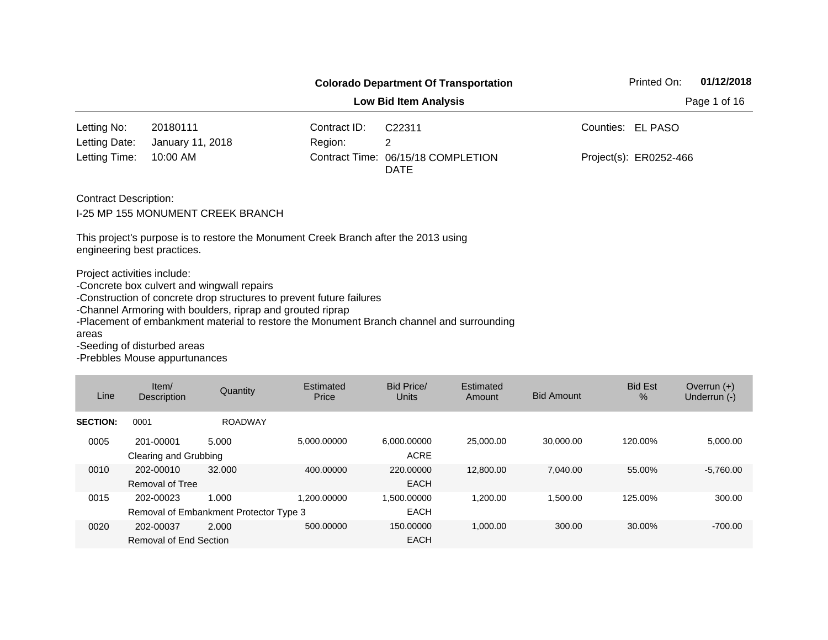|                                                                                                    |                                                                                                                                                                                                                   |              | Printed On:                                                                              | 01/12/2018             |  |  |  |  |  |
|----------------------------------------------------------------------------------------------------|-------------------------------------------------------------------------------------------------------------------------------------------------------------------------------------------------------------------|--------------|------------------------------------------------------------------------------------------|------------------------|--|--|--|--|--|
| <b>Low Bid Item Analysis</b><br>Page 1 of 16                                                       |                                                                                                                                                                                                                   |              |                                                                                          |                        |  |  |  |  |  |
| Letting No:                                                                                        | 20180111                                                                                                                                                                                                          | Contract ID: | C22311                                                                                   | Counties: EL PASO      |  |  |  |  |  |
| Letting Date:                                                                                      | January 11, 2018                                                                                                                                                                                                  | Region:      | 2                                                                                        |                        |  |  |  |  |  |
| Letting Time:                                                                                      | 10:00 AM                                                                                                                                                                                                          |              | Contract Time: 06/15/18 COMPLETION<br><b>DATE</b>                                        | Project(s): ER0252-466 |  |  |  |  |  |
| <b>Contract Description:</b>                                                                       | <b>I-25 MP 155 MONUMENT CREEK BRANCH</b><br>This project's purpose is to restore the Monument Creek Branch after the 2013 using                                                                                   |              |                                                                                          |                        |  |  |  |  |  |
| engineering best practices.<br>Project activities include:<br>areas<br>-Seeding of disturbed areas | -Concrete box culvert and wingwall repairs<br>-Construction of concrete drop structures to prevent future failures<br>-Channel Armoring with boulders, riprap and grouted riprap<br>-Prebbles Mouse appurtunances |              | -Placement of embankment material to restore the Monument Branch channel and surrounding |                        |  |  |  |  |  |

| Line            | Item/<br>Description                | Quantity                                        | Estimated<br>Price | Bid Price/<br><b>Units</b> | Estimated<br>Amount | <b>Bid Amount</b> | <b>Bid Est</b><br>$\%$ | Overrun $(+)$<br>Underrun (-) |
|-----------------|-------------------------------------|-------------------------------------------------|--------------------|----------------------------|---------------------|-------------------|------------------------|-------------------------------|
| <b>SECTION:</b> | 0001                                | <b>ROADWAY</b>                                  |                    |                            |                     |                   |                        |                               |
| 0005            | 201-00001<br>Clearing and Grubbing  | 5.000                                           | 5.000.00000        | 6.000.00000<br><b>ACRE</b> | 25,000,00           | 30.000.00         | 120.00%                | 5,000.00                      |
| 0010            | 202-00010<br>Removal of Tree        | 32.000                                          | 400.00000          | 220,00000<br>EACH          | 12,800,00           | 7.040.00          | 55.00%                 | $-5,760.00$                   |
| 0015            | 202-00023                           | 1.000<br>Removal of Embankment Protector Type 3 | 1.200.00000        | 1.500.00000<br><b>EACH</b> | 1.200.00            | 1.500.00          | 125.00%                | 300.00                        |
| 0020            | 202-00037<br>Removal of End Section | 2.000                                           | 500.00000          | 150.00000<br><b>EACH</b>   | 1,000.00            | 300.00            | 30.00%                 | $-700.00$                     |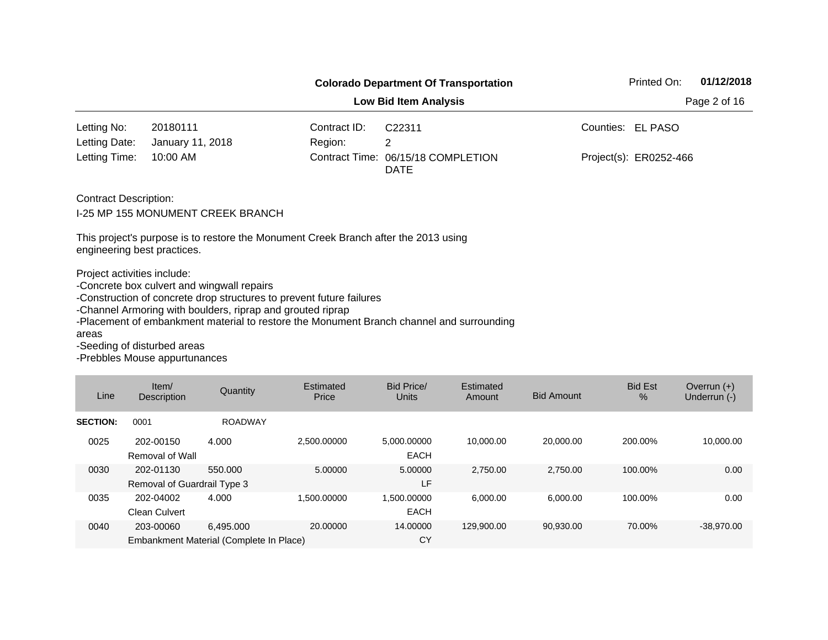|                                                                     |                                                                                                                                                                                                                   | Printed On:<br>01/12/2018 |                                                                                          |                        |  |  |  |  |  |
|---------------------------------------------------------------------|-------------------------------------------------------------------------------------------------------------------------------------------------------------------------------------------------------------------|---------------------------|------------------------------------------------------------------------------------------|------------------------|--|--|--|--|--|
| <b>Low Bid Item Analysis</b><br>Page 2 of 16                        |                                                                                                                                                                                                                   |                           |                                                                                          |                        |  |  |  |  |  |
| Letting No:                                                         | 20180111                                                                                                                                                                                                          | Contract ID:              | C22311                                                                                   | Counties: EL PASO      |  |  |  |  |  |
| Letting Date:                                                       | January 11, 2018                                                                                                                                                                                                  | Region:                   | 2                                                                                        |                        |  |  |  |  |  |
| Letting Time:                                                       | 10:00 AM                                                                                                                                                                                                          |                           | Contract Time: 06/15/18 COMPLETION<br><b>DATE</b>                                        | Project(s): ER0252-466 |  |  |  |  |  |
| <b>Contract Description:</b>                                        | <b>I-25 MP 155 MONUMENT CREEK BRANCH</b>                                                                                                                                                                          |                           |                                                                                          |                        |  |  |  |  |  |
| engineering best practices.                                         | This project's purpose is to restore the Monument Creek Branch after the 2013 using                                                                                                                               |                           |                                                                                          |                        |  |  |  |  |  |
| Project activities include:<br>areas<br>-Seeding of disturbed areas | -Concrete box culvert and wingwall repairs<br>-Construction of concrete drop structures to prevent future failures<br>-Channel Armoring with boulders, riprap and grouted riprap<br>-Prebbles Mouse appurtunances |                           | -Placement of embankment material to restore the Monument Branch channel and surrounding |                        |  |  |  |  |  |

| Line            | Item/<br>Description                                 | Quantity       | Estimated<br>Price | <b>Bid Price/</b><br>Units | Estimated<br>Amount | <b>Bid Amount</b> | <b>Bid Est</b><br>$\%$ | Overrun $(+)$<br>Underrun (-) |
|-----------------|------------------------------------------------------|----------------|--------------------|----------------------------|---------------------|-------------------|------------------------|-------------------------------|
| <b>SECTION:</b> | 0001                                                 | <b>ROADWAY</b> |                    |                            |                     |                   |                        |                               |
| 0025            | 202-00150<br>Removal of Wall                         | 4.000          | 2.500.00000        | 5,000.00000<br><b>EACH</b> | 10.000.00           | 20.000.00         | 200.00%                | 10,000.00                     |
| 0030            | 202-01130<br>Removal of Guardrail Type 3             | 550,000        | 5.00000            | 5.00000<br>LF              | 2.750.00            | 2,750.00          | 100.00%                | 0.00                          |
| 0035            | 202-04002<br><b>Clean Culvert</b>                    | 4.000          | 1.500.00000        | 1.500.00000<br><b>EACH</b> | 6,000.00            | 6.000.00          | 100.00%                | 0.00                          |
| 0040            | 203-00060<br>Embankment Material (Complete In Place) | 6.495.000      | 20,00000           | 14.00000<br>CY             | 129.900.00          | 90,930.00         | 70.00%                 | $-38,970.00$                  |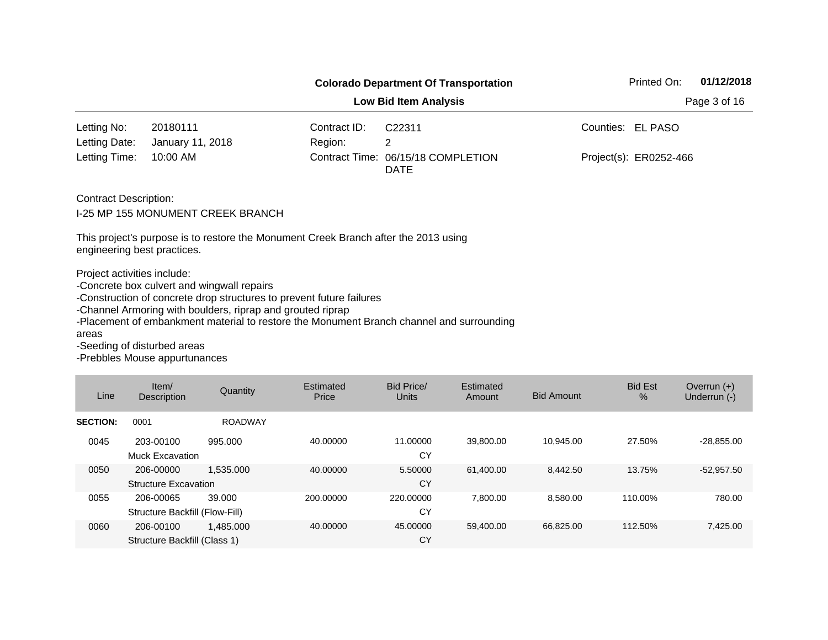|                                                                     |                                                                                                                                                                                  |                | <b>Colorado Department Of Transportation</b>                                             | Printed On:<br>01/12/2018 |  |  |
|---------------------------------------------------------------------|----------------------------------------------------------------------------------------------------------------------------------------------------------------------------------|----------------|------------------------------------------------------------------------------------------|---------------------------|--|--|
|                                                                     |                                                                                                                                                                                  |                | <b>Low Bid Item Analysis</b>                                                             | Page 3 of 16              |  |  |
| Letting No:                                                         | 20180111                                                                                                                                                                         | Contract ID:   | C <sub>22311</sub>                                                                       | Counties: EL PASO         |  |  |
| Letting Date:                                                       | January 11, 2018                                                                                                                                                                 | Region:        | 2                                                                                        |                           |  |  |
| Letting Time:                                                       | 10:00 AM                                                                                                                                                                         | Contract Time: | 06/15/18 COMPLETION<br><b>DATE</b>                                                       | Project(s): ER0252-466    |  |  |
| <b>Contract Description:</b>                                        | I-25 MP 155 MONUMENT CREEK BRANCH                                                                                                                                                |                |                                                                                          |                           |  |  |
| engineering best practices.                                         | This project's purpose is to restore the Monument Creek Branch after the 2013 using                                                                                              |                |                                                                                          |                           |  |  |
| Project activities include:<br>areas<br>-Seeding of disturbed areas | -Concrete box culvert and wingwall repairs<br>-Construction of concrete drop structures to prevent future failures<br>-Channel Armoring with boulders, riprap and grouted riprap |                | -Placement of embankment material to restore the Monument Branch channel and surrounding |                           |  |  |

| Line            | Item/<br><b>Description</b>                 | Quantity       | Estimated<br>Price | Bid Price/<br>Units | Estimated<br>Amount | <b>Bid Amount</b> | <b>Bid Est</b><br>% | Overrun $(+)$<br>Underrun (-) |
|-----------------|---------------------------------------------|----------------|--------------------|---------------------|---------------------|-------------------|---------------------|-------------------------------|
| <b>SECTION:</b> | 0001                                        | <b>ROADWAY</b> |                    |                     |                     |                   |                     |                               |
| 0045            | 203-00100<br><b>Muck Excavation</b>         | 995.000        | 40.00000           | 11.00000<br>CY      | 39,800.00           | 10,945.00         | 27.50%              | $-28,855.00$                  |
| 0050            | 206-00000<br><b>Structure Excavation</b>    | 1.535.000      | 40.00000           | 5.50000<br>CY       | 61.400.00           | 8.442.50          | 13.75%              | $-52,957.50$                  |
| 0055            | 206-00065<br>Structure Backfill (Flow-Fill) | 39,000         | 200.00000          | 220,00000<br>CY     | 7.800.00            | 8,580.00          | 110.00%             | 780.00                        |
| 0060            | 206-00100<br>Structure Backfill (Class 1)   | 1.485.000      | 40.00000           | 45.00000<br>CY      | 59.400.00           | 66.825.00         | 112.50%             | 7,425.00                      |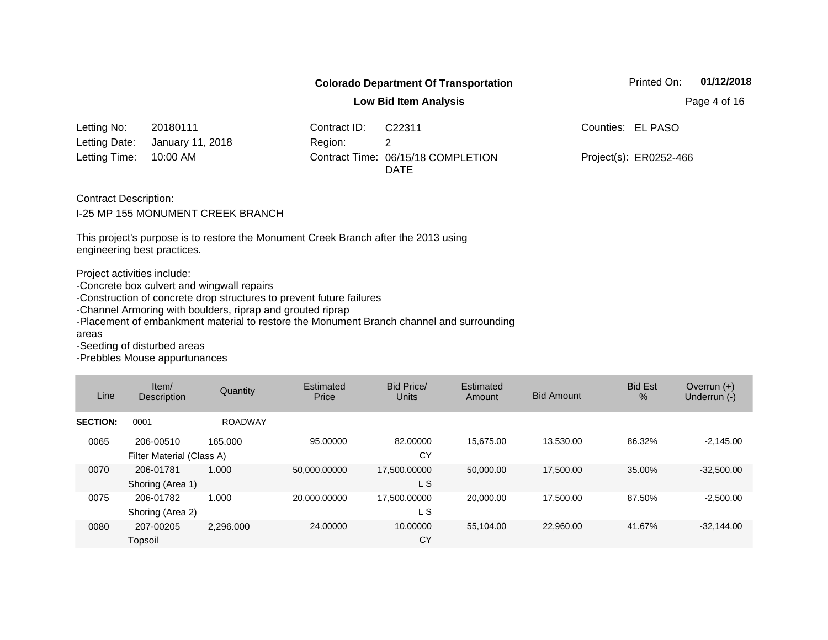|                                      |                                                                                                                                                                                  |              | <b>Colorado Department Of Transportation</b>                                             | 01/12/2018<br>Printed On: |
|--------------------------------------|----------------------------------------------------------------------------------------------------------------------------------------------------------------------------------|--------------|------------------------------------------------------------------------------------------|---------------------------|
|                                      | Page 4 of 16                                                                                                                                                                     |              |                                                                                          |                           |
| Letting No:                          | 20180111                                                                                                                                                                         | Contract ID: | C22311                                                                                   | Counties: EL PASO         |
| Letting Date:                        | January 11, 2018                                                                                                                                                                 | Region:      | 2                                                                                        |                           |
| Letting Time:                        | 10:00 AM                                                                                                                                                                         |              | Contract Time: 06/15/18 COMPLETION<br><b>DATE</b>                                        | Project(s): ER0252-466    |
| <b>Contract Description:</b>         | <b>I-25 MP 155 MONUMENT CREEK BRANCH</b>                                                                                                                                         |              |                                                                                          |                           |
| engineering best practices.          | This project's purpose is to restore the Monument Creek Branch after the 2013 using                                                                                              |              |                                                                                          |                           |
| Project activities include:<br>areas | -Concrete box culvert and wingwall repairs<br>-Construction of concrete drop structures to prevent future failures<br>-Channel Armoring with boulders, riprap and grouted riprap |              | -Placement of embankment material to restore the Monument Branch channel and surrounding |                           |
| -Seeding of disturbed areas          | <b>Drobblos Mouse appurtungnesse</b>                                                                                                                                             |              |                                                                                          |                           |

| Line            | Item/<br>Description                   | Quantity       | Estimated<br>Price | <b>Bid Price/</b><br><b>Units</b> | Estimated<br>Amount | <b>Bid Amount</b> | <b>Bid Est</b><br>$\%$ | Overrun $(+)$<br>Underrun (-) |
|-----------------|----------------------------------------|----------------|--------------------|-----------------------------------|---------------------|-------------------|------------------------|-------------------------------|
| <b>SECTION:</b> | 0001                                   | <b>ROADWAY</b> |                    |                                   |                     |                   |                        |                               |
| 0065            | 206-00510<br>Filter Material (Class A) | 165.000        | 95.00000           | 82.00000<br>CY                    | 15.675.00           | 13,530.00         | 86.32%                 | $-2,145.00$                   |
| 0070            | 206-01781<br>Shoring (Area 1)          | 1.000          | 50,000.00000       | 17,500.00000<br>L S               | 50.000.00           | 17,500.00         | 35.00%                 | $-32,500.00$                  |
| 0075            | 206-01782<br>Shoring (Area 2)          | 1.000          | 20,000.00000       | 17,500.00000<br>L S               | 20.000.00           | 17,500.00         | 87.50%                 | $-2,500.00$                   |
| 0080            | 207-00205<br>Topsoil                   | 2.296.000      | 24.00000           | 10.00000<br>CY                    | 55.104.00           | 22,960.00         | 41.67%                 | $-32.144.00$                  |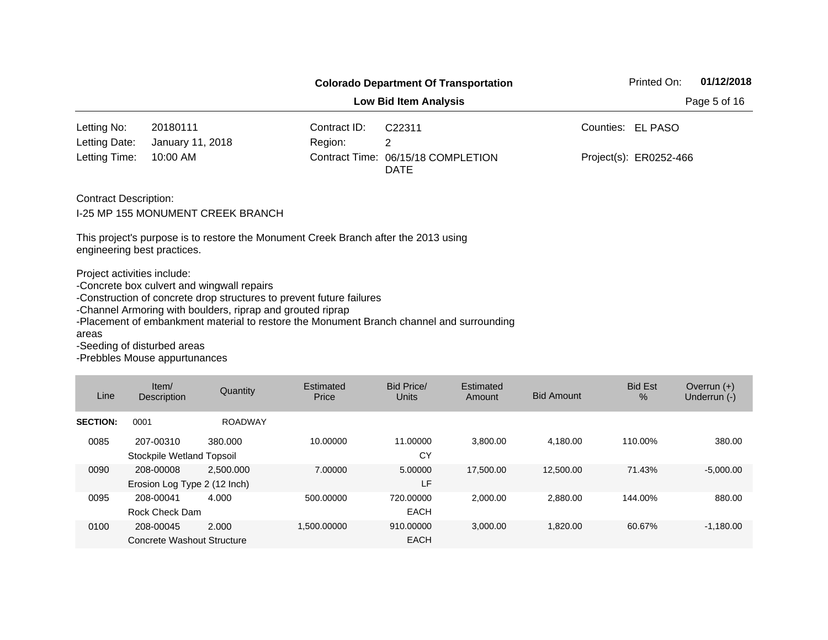|                                                                     |                                                                                                                                                                                  |                       | <b>Colorado Department Of Transportation</b>                                             | Printed On:<br>01/12/2018 |  |  |  |  |  |
|---------------------------------------------------------------------|----------------------------------------------------------------------------------------------------------------------------------------------------------------------------------|-----------------------|------------------------------------------------------------------------------------------|---------------------------|--|--|--|--|--|
| <b>Low Bid Item Analysis</b>                                        |                                                                                                                                                                                  |                       |                                                                                          |                           |  |  |  |  |  |
| Letting No:                                                         | 20180111                                                                                                                                                                         | Contract ID:          | C22311                                                                                   | Counties: EL PASO         |  |  |  |  |  |
| Letting Date:                                                       | January 11, 2018                                                                                                                                                                 | Region:               | 2                                                                                        |                           |  |  |  |  |  |
| Letting Time:                                                       | 10:00 AM                                                                                                                                                                         | <b>Contract Time:</b> | 06/15/18 COMPLETION<br><b>DATE</b>                                                       | Project(s): ER0252-466    |  |  |  |  |  |
| <b>Contract Description:</b>                                        | I-25 MP 155 MONUMENT CREEK BRANCH                                                                                                                                                |                       |                                                                                          |                           |  |  |  |  |  |
| engineering best practices.                                         | This project's purpose is to restore the Monument Creek Branch after the 2013 using                                                                                              |                       |                                                                                          |                           |  |  |  |  |  |
| Project activities include:<br>areas<br>-Seeding of disturbed areas | -Concrete box culvert and wingwall repairs<br>-Construction of concrete drop structures to prevent future failures<br>-Channel Armoring with boulders, riprap and grouted riprap |                       | -Placement of embankment material to restore the Monument Branch channel and surrounding |                           |  |  |  |  |  |

| Line            | Item/<br><b>Description</b>               | Quantity       | Estimated<br>Price | Bid Price/<br>Units      | Estimated<br>Amount | <b>Bid Amount</b> | <b>Bid Est</b><br>$\%$ | Overrun $(+)$<br>Underrun (-) |
|-----------------|-------------------------------------------|----------------|--------------------|--------------------------|---------------------|-------------------|------------------------|-------------------------------|
| <b>SECTION:</b> | 0001                                      | <b>ROADWAY</b> |                    |                          |                     |                   |                        |                               |
| 0085            | 207-00310<br>Stockpile Wetland Topsoil    | 380.000        | 10.00000           | 11.00000<br>CY           | 3.800.00            | 4,180.00          | 110.00%                | 380.00                        |
| 0090            | 208-00008<br>Erosion Log Type 2 (12 Inch) | 2.500.000      | 7.00000            | 5.00000<br>LF            | 17.500.00           | 12,500.00         | 71.43%                 | $-5,000.00$                   |
| 0095            | 208-00041<br>Rock Check Dam               | 4.000          | 500.00000          | 720,00000<br><b>EACH</b> | 2.000.00            | 2,880.00          | 144.00%                | 880.00                        |
| 0100            | 208-00045<br>Concrete Washout Structure   | 2.000          | 1.500.00000        | 910.00000<br><b>EACH</b> | 3.000.00            | 1,820.00          | 60.67%                 | $-1,180.00$                   |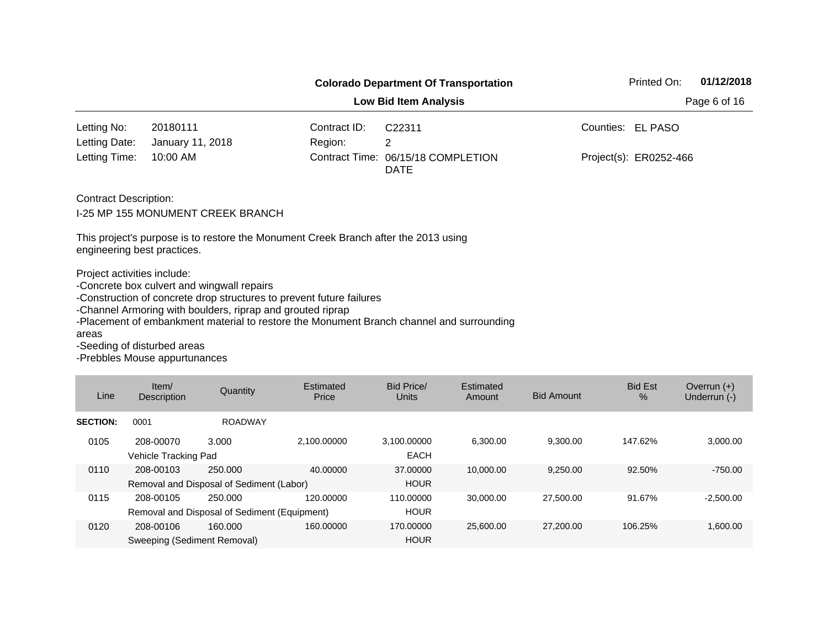|                                                                     |                                                                                                                                                                                  | <b>Colorado Department Of Transportation</b> | Printed On:                                                                              | 01/12/2018             |  |  |  |  |
|---------------------------------------------------------------------|----------------------------------------------------------------------------------------------------------------------------------------------------------------------------------|----------------------------------------------|------------------------------------------------------------------------------------------|------------------------|--|--|--|--|
| <b>Low Bid Item Analysis</b>                                        |                                                                                                                                                                                  |                                              |                                                                                          |                        |  |  |  |  |
| Letting No:                                                         | 20180111                                                                                                                                                                         | Contract ID:                                 | C <sub>22311</sub>                                                                       | Counties: EL PASO      |  |  |  |  |
| Letting Date:                                                       | January 11, 2018                                                                                                                                                                 | Region:                                      | 2                                                                                        |                        |  |  |  |  |
| Letting Time:                                                       | 10:00 AM                                                                                                                                                                         | Contract Time:                               | 06/15/18 COMPLETION<br><b>DATE</b>                                                       | Project(s): ER0252-466 |  |  |  |  |
| <b>Contract Description:</b>                                        | I-25 MP 155 MONUMENT CREEK BRANCH<br>This project's purpose is to restore the Monument Creek Branch after the 2013 using                                                         |                                              |                                                                                          |                        |  |  |  |  |
| engineering best practices.                                         |                                                                                                                                                                                  |                                              |                                                                                          |                        |  |  |  |  |
| Project activities include:<br>areas<br>-Seeding of disturbed areas | -Concrete box culvert and wingwall repairs<br>-Construction of concrete drop structures to prevent future failures<br>-Channel Armoring with boulders, riprap and grouted riprap |                                              | -Placement of embankment material to restore the Monument Branch channel and surrounding |                        |  |  |  |  |
|                                                                     |                                                                                                                                                                                  |                                              |                                                                                          |                        |  |  |  |  |

| Line            | Item $/$<br><b>Description</b>           | Quantity                                                | Estimated<br>Price | Bid Price/<br><b>Units</b> | Estimated<br>Amount | <b>Bid Amount</b> | <b>Bid Est</b><br>$\%$ | Overrun $(+)$<br>Underrun (-) |
|-----------------|------------------------------------------|---------------------------------------------------------|--------------------|----------------------------|---------------------|-------------------|------------------------|-------------------------------|
| <b>SECTION:</b> | 0001                                     | <b>ROADWAY</b>                                          |                    |                            |                     |                   |                        |                               |
| 0105            | 208-00070<br>Vehicle Tracking Pad        | 3.000                                                   | 2.100.00000        | 3,100.00000<br><b>EACH</b> | 6.300.00            | 9.300.00          | 147.62%                | 3,000.00                      |
| 0110            | 208-00103                                | 250,000<br>Removal and Disposal of Sediment (Labor)     | 40.00000           | 37,00000<br><b>HOUR</b>    | 10.000.00           | 9,250.00          | 92.50%                 | $-750.00$                     |
| 0115            | 208-00105                                | 250.000<br>Removal and Disposal of Sediment (Equipment) | 120.00000          | 110.00000<br><b>HOUR</b>   | 30.000.00           | 27,500.00         | 91.67%                 | $-2,500.00$                   |
| 0120            | 208-00106<br>Sweeping (Sediment Removal) | 160.000                                                 | 160.00000          | 170.00000<br><b>HOUR</b>   | 25.600.00           | 27,200,00         | 106.25%                | 1,600.00                      |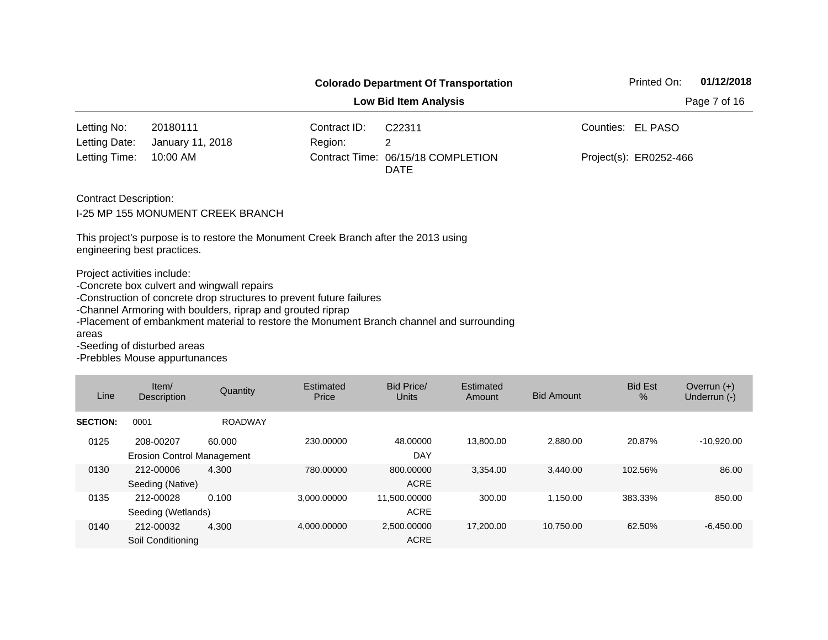|                                                            |                                                                                                                                                                                  |                | <b>Colorado Department Of Transportation</b>                                             | 01/12/2018<br>Printed On: |  |
|------------------------------------------------------------|----------------------------------------------------------------------------------------------------------------------------------------------------------------------------------|----------------|------------------------------------------------------------------------------------------|---------------------------|--|
|                                                            |                                                                                                                                                                                  |                | <b>Low Bid Item Analysis</b>                                                             | Page 7 of 16              |  |
| Letting No:                                                | 20180111                                                                                                                                                                         | Contract ID:   | C <sub>22311</sub>                                                                       | Counties: EL PASO         |  |
| Letting Date:                                              | January 11, 2018                                                                                                                                                                 | Region:        | $\mathbf{2}^{\prime}$                                                                    |                           |  |
| Letting Time:                                              | 10:00 AM                                                                                                                                                                         | Contract Time: | 06/15/18 COMPLETION<br><b>DATE</b>                                                       | Project(s): ER0252-466    |  |
| <b>Contract Description:</b>                               | I-25 MP 155 MONUMENT CREEK BRANCH<br>This project's purpose is to restore the Monument Creek Branch after the 2013 using                                                         |                |                                                                                          |                           |  |
| engineering best practices.<br>Project activities include: | -Concrete box culvert and wingwall repairs<br>-Construction of concrete drop structures to prevent future failures<br>-Channel Armoring with boulders, riprap and grouted riprap |                | -Placement of embankment material to restore the Monument Branch channel and surrounding |                           |  |
| areas<br>-Seeding of disturbed areas                       |                                                                                                                                                                                  |                |                                                                                          |                           |  |

| Line            | Item/<br><b>Description</b>                    | Quantity       | Estimated<br>Price | Bid Price/<br><b>Units</b>  | Estimated<br>Amount | <b>Bid Amount</b> | <b>Bid Est</b><br>$\%$ | Overrun $(+)$<br>Underrun (-) |
|-----------------|------------------------------------------------|----------------|--------------------|-----------------------------|---------------------|-------------------|------------------------|-------------------------------|
| <b>SECTION:</b> | 0001                                           | <b>ROADWAY</b> |                    |                             |                     |                   |                        |                               |
| 0125            | 208-00207<br><b>Erosion Control Management</b> | 60,000         | 230.00000          | 48.00000<br><b>DAY</b>      | 13,800.00           | 2,880.00          | 20.87%                 | $-10,920.00$                  |
| 0130            | 212-00006<br>Seeding (Native)                  | 4.300          | 780.00000          | 800.00000<br><b>ACRE</b>    | 3.354.00            | 3,440.00          | 102.56%                | 86.00                         |
| 0135            | 212-00028<br>Seeding (Wetlands)                | 0.100          | 3.000.00000        | 11,500.00000<br><b>ACRE</b> | 300.00              | 1,150.00          | 383.33%                | 850.00                        |
| 0140            | 212-00032<br>Soil Conditioning                 | 4.300          | 4.000.00000        | 2.500.00000<br><b>ACRE</b>  | 17,200.00           | 10.750.00         | 62.50%                 | $-6.450.00$                   |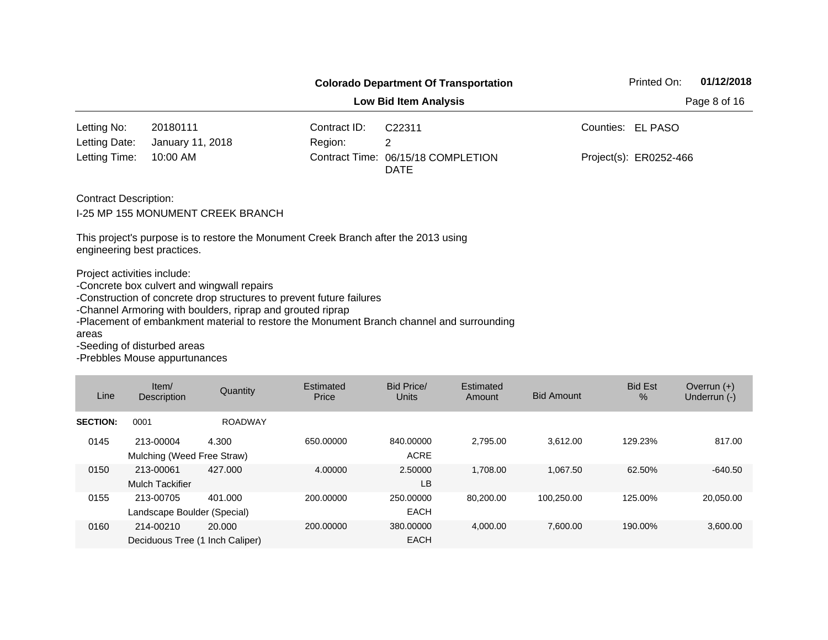|                                                                     |                                                                                                                                                                                  |                       | <b>Colorado Department Of Transportation</b>                                             | Printed On:<br>01/12/2018 |  |
|---------------------------------------------------------------------|----------------------------------------------------------------------------------------------------------------------------------------------------------------------------------|-----------------------|------------------------------------------------------------------------------------------|---------------------------|--|
|                                                                     |                                                                                                                                                                                  |                       | <b>Low Bid Item Analysis</b>                                                             | Page 8 of 16              |  |
| Letting No:                                                         | 20180111                                                                                                                                                                         | Contract ID:          | C22311                                                                                   | Counties: EL PASO         |  |
| Letting Date:                                                       | January 11, 2018                                                                                                                                                                 | Region:               | 2                                                                                        |                           |  |
| Letting Time:                                                       | 10:00 AM                                                                                                                                                                         | <b>Contract Time:</b> | 06/15/18 COMPLETION<br><b>DATE</b>                                                       | Project(s): ER0252-466    |  |
| <b>Contract Description:</b>                                        | I-25 MP 155 MONUMENT CREEK BRANCH                                                                                                                                                |                       |                                                                                          |                           |  |
| engineering best practices.                                         | This project's purpose is to restore the Monument Creek Branch after the 2013 using                                                                                              |                       |                                                                                          |                           |  |
| Project activities include:<br>areas<br>-Seeding of disturbed areas | -Concrete box culvert and wingwall repairs<br>-Construction of concrete drop structures to prevent future failures<br>-Channel Armoring with boulders, riprap and grouted riprap |                       | -Placement of embankment material to restore the Monument Branch channel and surrounding |                           |  |

| Line            | Item/<br><b>Description</b>                  | Quantity       | Estimated<br>Price | Bid Price/<br><b>Units</b> | Estimated<br>Amount | <b>Bid Amount</b> | <b>Bid Est</b><br>$\%$ | Overrun $(+)$<br>Underrun (-) |
|-----------------|----------------------------------------------|----------------|--------------------|----------------------------|---------------------|-------------------|------------------------|-------------------------------|
| <b>SECTION:</b> | 0001                                         | <b>ROADWAY</b> |                    |                            |                     |                   |                        |                               |
| 0145            | 213-00004<br>Mulching (Weed Free Straw)      | 4.300          | 650,00000          | 840.00000<br><b>ACRE</b>   | 2.795.00            | 3,612.00          | 129.23%                | 817.00                        |
| 0150            | 213-00061<br><b>Mulch Tackifier</b>          | 427.000        | 4.00000            | 2.50000<br>LB              | 1,708.00            | 1.067.50          | 62.50%                 | $-640.50$                     |
| 0155            | 213-00705<br>Landscape Boulder (Special)     | 401.000        | 200.00000          | 250,00000<br><b>EACH</b>   | 80.200.00           | 100,250.00        | 125.00%                | 20,050.00                     |
| 0160            | 214-00210<br>Deciduous Tree (1 Inch Caliper) | 20.000         | 200.00000          | 380,00000<br><b>EACH</b>   | 4.000.00            | 7.600.00          | 190.00%                | 3.600.00                      |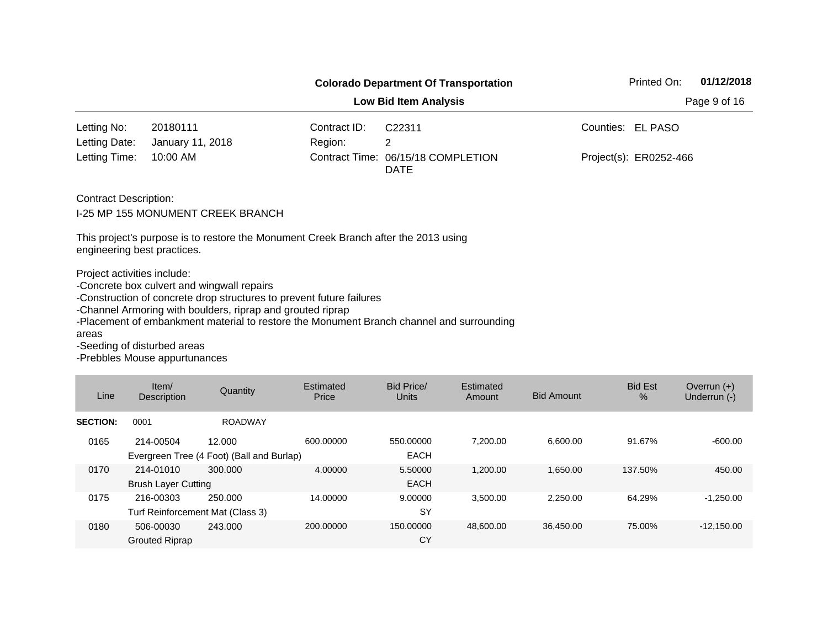|                                                                     |                                                                                                                                                                                  |                | <b>Colorado Department Of Transportation</b>                                             | 01/12/2018<br>Printed On: |  |
|---------------------------------------------------------------------|----------------------------------------------------------------------------------------------------------------------------------------------------------------------------------|----------------|------------------------------------------------------------------------------------------|---------------------------|--|
|                                                                     |                                                                                                                                                                                  |                | <b>Low Bid Item Analysis</b>                                                             | Page 9 of 16              |  |
| Letting No:                                                         | 20180111                                                                                                                                                                         | Contract ID:   | C <sub>22311</sub>                                                                       | Counties: EL PASO         |  |
| Letting Date:                                                       | January 11, 2018                                                                                                                                                                 | Region:        | 2                                                                                        |                           |  |
| Letting Time:                                                       | 10:00 AM                                                                                                                                                                         | Contract Time: | 06/15/18 COMPLETION<br><b>DATE</b>                                                       | Project(s): ER0252-466    |  |
| <b>Contract Description:</b>                                        | I-25 MP 155 MONUMENT CREEK BRANCH<br>This project's purpose is to restore the Monument Creek Branch after the 2013 using                                                         |                |                                                                                          |                           |  |
| engineering best practices.                                         |                                                                                                                                                                                  |                |                                                                                          |                           |  |
| Project activities include:<br>areas<br>-Seeding of disturbed areas | -Concrete box culvert and wingwall repairs<br>-Construction of concrete drop structures to prevent future failures<br>-Channel Armoring with boulders, riprap and grouted riprap |                | -Placement of embankment material to restore the Monument Branch channel and surrounding |                           |  |
|                                                                     |                                                                                                                                                                                  |                |                                                                                          |                           |  |

| Line            | Item/<br><b>Description</b>                   | Quantity                                            | Estimated<br>Price | Bid Price/<br><b>Units</b> | Estimated<br>Amount | <b>Bid Amount</b> | <b>Bid Est</b><br>$\%$ | Overrun $(+)$<br>Underrun (-) |
|-----------------|-----------------------------------------------|-----------------------------------------------------|--------------------|----------------------------|---------------------|-------------------|------------------------|-------------------------------|
| <b>SECTION:</b> | 0001                                          | <b>ROADWAY</b>                                      |                    |                            |                     |                   |                        |                               |
| 0165            | 214-00504                                     | 12.000<br>Evergreen Tree (4 Foot) (Ball and Burlap) | 600.00000          | 550,00000<br><b>EACH</b>   | 7.200.00            | 6,600.00          | 91.67%                 | $-600.00$                     |
| 0170            | 214-01010<br><b>Brush Layer Cutting</b>       | 300.000                                             | 4.00000            | 5.50000<br><b>EACH</b>     | 1,200.00            | 1,650.00          | 137.50%                | 450.00                        |
| 0175            | 216-00303<br>Turf Reinforcement Mat (Class 3) | 250,000                                             | 14.00000           | 9.00000<br><b>SY</b>       | 3,500.00            | 2,250.00          | 64.29%                 | $-1,250.00$                   |
| 0180            | 506-00030<br><b>Grouted Riprap</b>            | 243,000                                             | 200.00000          | 150.00000<br>CY            | 48.600.00           | 36.450.00         | 75.00%                 | $-12,150.00$                  |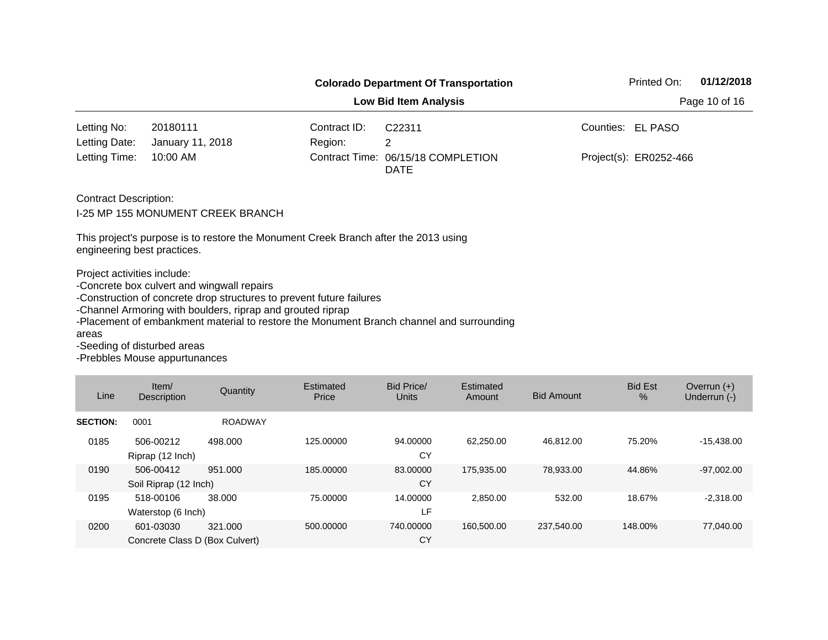|                                                                                                    |                                                                                                                                                                                  |                | <b>Colorado Department Of Transportation</b>                                             | Printed On:<br>01/12/2018 |
|----------------------------------------------------------------------------------------------------|----------------------------------------------------------------------------------------------------------------------------------------------------------------------------------|----------------|------------------------------------------------------------------------------------------|---------------------------|
|                                                                                                    |                                                                                                                                                                                  | Page 10 of 16  |                                                                                          |                           |
| Letting No:                                                                                        | 20180111                                                                                                                                                                         | Contract ID:   | C <sub>22311</sub>                                                                       | Counties:<br>EL PASO      |
| Letting Date:                                                                                      | January 11, 2018                                                                                                                                                                 | Region:        | $\overline{2}$                                                                           |                           |
| Letting Time:                                                                                      | 10:00 AM                                                                                                                                                                         | Contract Time: | 06/15/18 COMPLETION<br><b>DATE</b>                                                       | Project(s): ER0252-466    |
| <b>Contract Description:</b>                                                                       | I-25 MP 155 MONUMENT CREEK BRANCH<br>This project's purpose is to restore the Monument Creek Branch after the 2013 using                                                         |                |                                                                                          |                           |
| engineering best practices.<br>Project activities include:<br>areas<br>-Seeding of disturbed areas | -Concrete box culvert and wingwall repairs<br>-Construction of concrete drop structures to prevent future failures<br>-Channel Armoring with boulders, riprap and grouted riprap |                | -Placement of embankment material to restore the Monument Branch channel and surrounding |                           |

| Line            | Item/<br><b>Description</b>                 | Quantity       | Estimated<br>Price | Bid Price/<br><b>Units</b> | Estimated<br>Amount | <b>Bid Amount</b> | <b>Bid Est</b><br>$\%$ | Overrun $(+)$<br>Underrun (-) |
|-----------------|---------------------------------------------|----------------|--------------------|----------------------------|---------------------|-------------------|------------------------|-------------------------------|
| <b>SECTION:</b> | 0001                                        | <b>ROADWAY</b> |                    |                            |                     |                   |                        |                               |
| 0185            | 506-00212<br>Riprap (12 Inch)               | 498.000        | 125.00000          | 94.00000<br>CY             | 62,250.00           | 46.812.00         | 75.20%                 | $-15,438.00$                  |
| 0190            | 506-00412<br>Soil Riprap (12 Inch)          | 951.000        | 185.00000          | 83.00000<br>CY             | 175.935.00          | 78,933.00         | 44.86%                 | $-97,002.00$                  |
| 0195            | 518-00106<br>Waterstop (6 Inch)             | 38,000         | 75.00000           | 14.00000<br>LF             | 2.850.00            | 532.00            | 18.67%                 | $-2,318.00$                   |
| 0200            | 601-03030<br>Concrete Class D (Box Culvert) | 321.000        | 500.00000          | 740.00000<br>CY            | 160.500.00          | 237.540.00        | 148.00%                | 77.040.00                     |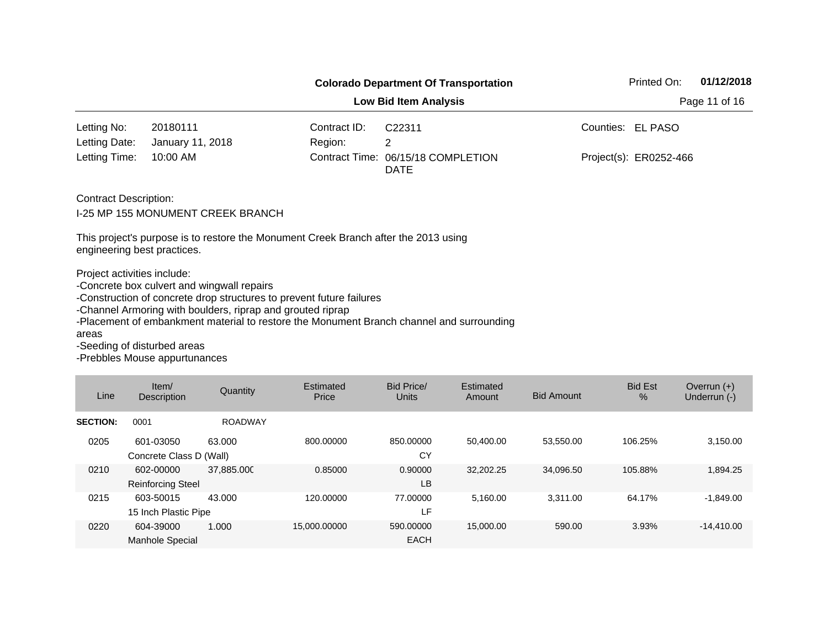|                                                                     |                                                                                                                                                                                                                     |                              | <b>Colorado Department Of Transportation</b>                                             | 01/12/2018<br>Printed On: |
|---------------------------------------------------------------------|---------------------------------------------------------------------------------------------------------------------------------------------------------------------------------------------------------------------|------------------------------|------------------------------------------------------------------------------------------|---------------------------|
|                                                                     |                                                                                                                                                                                                                     | <b>Low Bid Item Analysis</b> | Page 11 of 16                                                                            |                           |
| Letting No:                                                         | 20180111                                                                                                                                                                                                            | Contract ID:                 | C <sub>22311</sub>                                                                       | Counties: EL PASO         |
| Letting Date:                                                       | January 11, 2018                                                                                                                                                                                                    | Region:                      | 2                                                                                        |                           |
| Letting Time:                                                       | 10:00 AM                                                                                                                                                                                                            |                              | Contract Time: 06/15/18 COMPLETION<br><b>DATE</b>                                        | Project(s): ER0252-466    |
| <b>Contract Description:</b>                                        | <b>I-25 MP 155 MONUMENT CREEK BRANCH</b>                                                                                                                                                                            |                              |                                                                                          |                           |
| engineering best practices.                                         | This project's purpose is to restore the Monument Creek Branch after the 2013 using                                                                                                                                 |                              |                                                                                          |                           |
| Project activities include:<br>areas<br>-Seeding of disturbed areas | -Concrete box culvert and wingwall repairs<br>-Construction of concrete drop structures to prevent future failures<br>-Channel Armoring with boulders, riprap and grouted riprap<br>Deskklaa Mariaa appristriaanaan |                              | -Placement of embankment material to restore the Monument Branch channel and surrounding |                           |

| Line            | Item/<br><b>Description</b>           | Quantity       | Estimated<br>Price | <b>Bid Price/</b><br><b>Units</b> | Estimated<br>Amount | <b>Bid Amount</b> | <b>Bid Est</b><br>$\%$ | Overrun $(+)$<br>Underrun (-) |
|-----------------|---------------------------------------|----------------|--------------------|-----------------------------------|---------------------|-------------------|------------------------|-------------------------------|
| <b>SECTION:</b> | 0001                                  | <b>ROADWAY</b> |                    |                                   |                     |                   |                        |                               |
| 0205            | 601-03050<br>Concrete Class D (Wall)  | 63,000         | 800.00000          | 850.00000<br>CY                   | 50.400.00           | 53,550.00         | 106.25%                | 3,150.00                      |
| 0210            | 602-00000<br><b>Reinforcing Steel</b> | 37.885.000     | 0.85000            | 0.90000<br>LB                     | 32,202.25           | 34,096.50         | 105.88%                | 1,894.25                      |
| 0215            | 603-50015<br>15 Inch Plastic Pipe     | 43,000         | 120.00000          | 77,00000<br>LF                    | 5,160.00            | 3.311.00          | 64.17%                 | $-1,849.00$                   |
| 0220            | 604-39000<br><b>Manhole Special</b>   | 1.000          | 15.000.00000       | 590,00000<br><b>EACH</b>          | 15,000,00           | 590.00            | 3.93%                  | $-14.410.00$                  |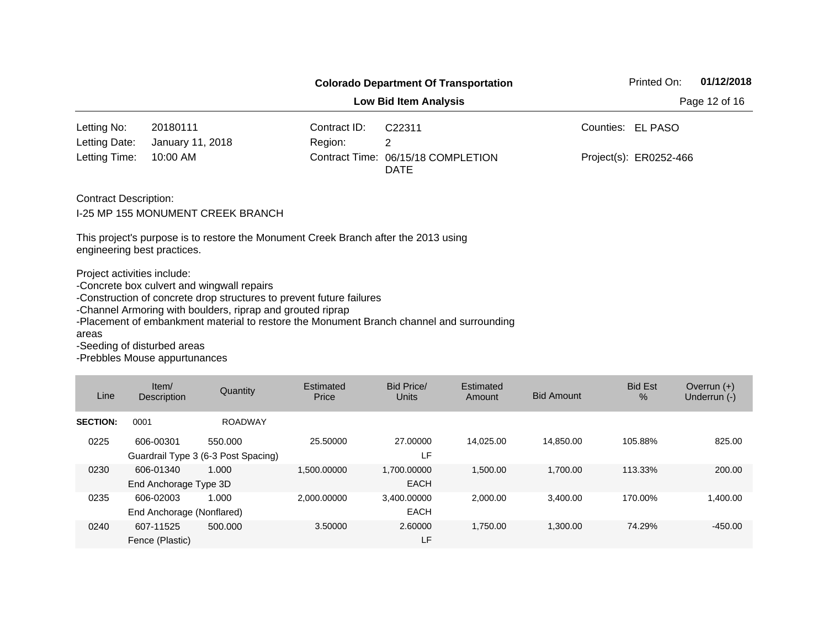|                                                                     |                                                                                                                                                                                  |              | <b>Colorado Department Of Transportation</b>                                             | 01/12/2018<br>Printed On: |  |
|---------------------------------------------------------------------|----------------------------------------------------------------------------------------------------------------------------------------------------------------------------------|--------------|------------------------------------------------------------------------------------------|---------------------------|--|
|                                                                     |                                                                                                                                                                                  |              | <b>Low Bid Item Analysis</b>                                                             | Page 12 of 16             |  |
| Letting No:                                                         | 20180111                                                                                                                                                                         | Contract ID: | C22311                                                                                   | Counties: EL PASO         |  |
| Letting Date:                                                       | January 11, 2018                                                                                                                                                                 | Region:      | 2                                                                                        |                           |  |
| Letting Time:                                                       | 10:00 AM                                                                                                                                                                         |              | Contract Time: 06/15/18 COMPLETION<br><b>DATE</b>                                        | Project(s): ER0252-466    |  |
| <b>Contract Description:</b>                                        | I-25 MP 155 MONUMENT CREEK BRANCH                                                                                                                                                |              |                                                                                          |                           |  |
| engineering best practices.                                         | This project's purpose is to restore the Monument Creek Branch after the 2013 using                                                                                              |              |                                                                                          |                           |  |
| Project activities include:<br>areas<br>-Seeding of disturbed areas | -Concrete box culvert and wingwall repairs<br>-Construction of concrete drop structures to prevent future failures<br>-Channel Armoring with boulders, riprap and grouted riprap |              | -Placement of embankment material to restore the Monument Branch channel and surrounding |                           |  |

| Line            | Item/<br><b>Description</b>            | Quantity                                       | Estimated<br>Price | <b>Bid Price/</b><br>Units | Estimated<br>Amount | <b>Bid Amount</b> | <b>Bid Est</b><br>$\%$ | Overrun $(+)$<br>Underrun (-) |
|-----------------|----------------------------------------|------------------------------------------------|--------------------|----------------------------|---------------------|-------------------|------------------------|-------------------------------|
| <b>SECTION:</b> | 0001                                   | <b>ROADWAY</b>                                 |                    |                            |                     |                   |                        |                               |
| 0225            | 606-00301                              | 550.000<br>Guardrail Type 3 (6-3 Post Spacing) | 25,50000           | 27,00000<br>LF             | 14.025.00           | 14.850.00         | 105.88%                | 825.00                        |
| 0230            | 606-01340<br>End Anchorage Type 3D     | 1.000                                          | 1.500.00000        | 1.700.00000<br><b>EACH</b> | 1.500.00            | 1.700.00          | 113.33%                | 200.00                        |
| 0235            | 606-02003<br>End Anchorage (Nonflared) | 1.000                                          | 2.000.00000        | 3,400.00000<br><b>EACH</b> | 2.000.00            | 3.400.00          | 170.00%                | 1.400.00                      |
| 0240            | 607-11525<br>Fence (Plastic)           | 500.000                                        | 3.50000            | 2.60000<br>LF              | 1.750.00            | 1.300.00          | 74.29%                 | $-450.00$                     |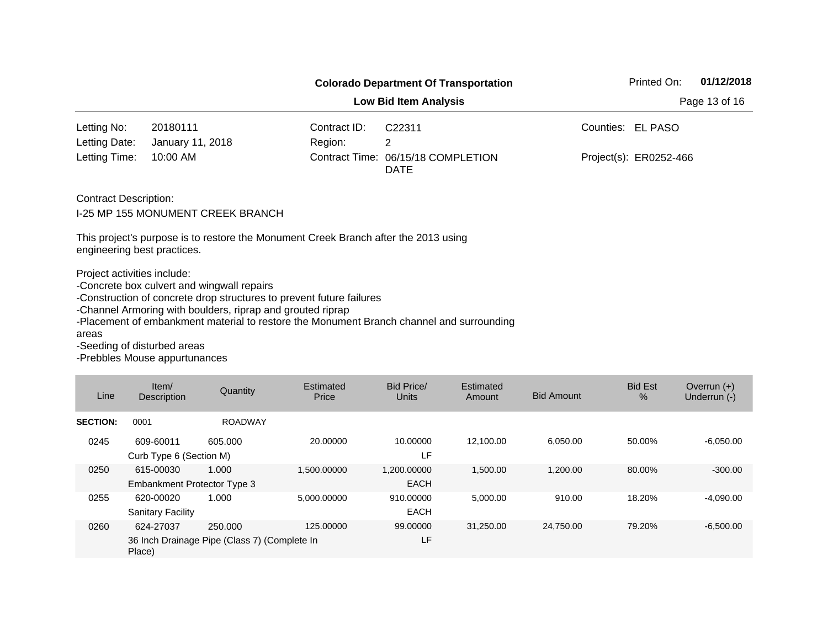|                                                                     |                                                                                                                                                                                                                   |              | <b>Colorado Department Of Transportation</b>                                             | Printed On:<br>01/12/2018   |  |  |  |  |  |
|---------------------------------------------------------------------|-------------------------------------------------------------------------------------------------------------------------------------------------------------------------------------------------------------------|--------------|------------------------------------------------------------------------------------------|-----------------------------|--|--|--|--|--|
| Page 13 of 16<br><b>Low Bid Item Analysis</b>                       |                                                                                                                                                                                                                   |              |                                                                                          |                             |  |  |  |  |  |
| Letting No:                                                         | 20180111                                                                                                                                                                                                          | Contract ID: | C22311                                                                                   | Counties:<br><b>EL PASO</b> |  |  |  |  |  |
| Letting Date:                                                       | January 11, 2018                                                                                                                                                                                                  | Region:      | 2                                                                                        |                             |  |  |  |  |  |
| Letting Time:                                                       | 10:00 AM                                                                                                                                                                                                          |              | Contract Time: 06/15/18 COMPLETION<br><b>DATE</b>                                        | Project(s): ER0252-466      |  |  |  |  |  |
| <b>Contract Description:</b>                                        | <b>I-25 MP 155 MONUMENT CREEK BRANCH</b>                                                                                                                                                                          |              |                                                                                          |                             |  |  |  |  |  |
| engineering best practices.                                         | This project's purpose is to restore the Monument Creek Branch after the 2013 using                                                                                                                               |              |                                                                                          |                             |  |  |  |  |  |
| Project activities include:<br>areas<br>-Seeding of disturbed areas | -Concrete box culvert and wingwall repairs<br>-Construction of concrete drop structures to prevent future failures<br>-Channel Armoring with boulders, riprap and grouted riprap<br>-Prebbles Mouse appurtunances |              | -Placement of embankment material to restore the Monument Branch channel and surrounding |                             |  |  |  |  |  |

| Line            | Item/<br>Description                                                | Quantity       | Estimated<br>Price | Bid Price/<br><b>Units</b> | Estimated<br>Amount | <b>Bid Amount</b> | <b>Bid Est</b><br>$\%$ | Overrun $(+)$<br>Underrun (-) |
|-----------------|---------------------------------------------------------------------|----------------|--------------------|----------------------------|---------------------|-------------------|------------------------|-------------------------------|
| <b>SECTION:</b> | 0001                                                                | <b>ROADWAY</b> |                    |                            |                     |                   |                        |                               |
| 0245            | 609-60011<br>Curb Type 6 (Section M)                                | 605.000        | 20,00000           | 10.00000<br>LF             | 12.100.00           | 6.050.00          | 50.00%                 | $-6,050.00$                   |
| 0250            | 615-00030<br>Embankment Protector Type 3                            | 1.000          | 1.500.00000        | 1.200.00000<br><b>EACH</b> | 1,500.00            | 1.200.00          | 80.00%                 | $-300.00$                     |
| 0255            | 620-00020<br><b>Sanitary Facility</b>                               | 1.000          | 5.000.00000        | 910.00000<br><b>EACH</b>   | 5,000.00            | 910.00            | 18.20%                 | $-4,090.00$                   |
| 0260            | 624-27037<br>36 Inch Drainage Pipe (Class 7) (Complete In<br>Place) | 250,000        | 125.00000          | 99.00000<br>LF             | 31.250.00           | 24.750.00         | 79.20%                 | $-6.500.00$                   |

,我们也不会有什么?""我们的人,我们也不会有什么?""我们的人,我们也不会有什么?""我们的人,我们也不会有什么?""我们的人,我们也不会有什么?""我们的人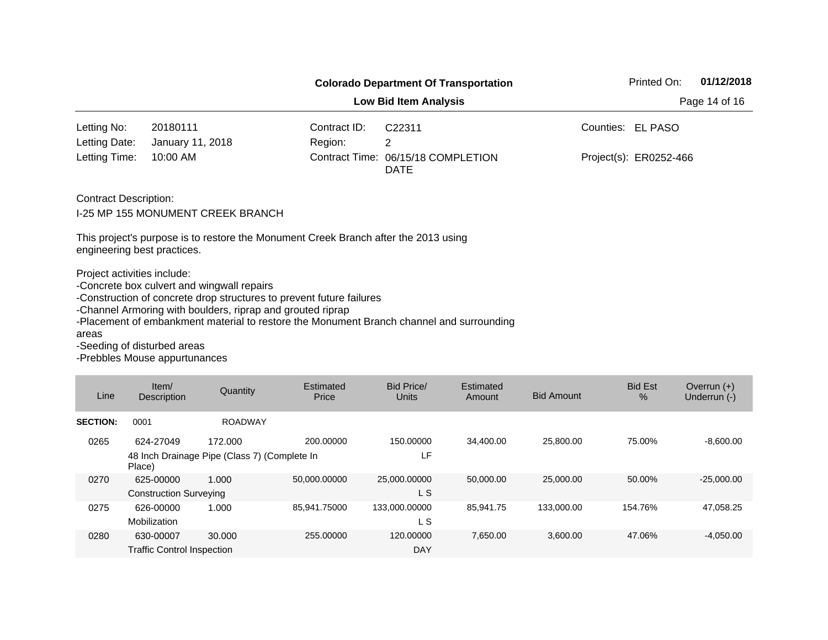|                                                                     |                                                                                                                                                                                  |                              | <b>Colorado Department Of Transportation</b>                                             | Printed On:            | 01/12/2018 |
|---------------------------------------------------------------------|----------------------------------------------------------------------------------------------------------------------------------------------------------------------------------|------------------------------|------------------------------------------------------------------------------------------|------------------------|------------|
|                                                                     |                                                                                                                                                                                  | <b>Low Bid Item Analysis</b> | Page 14 of 16                                                                            |                        |            |
| Letting No:                                                         | 20180111                                                                                                                                                                         | Contract ID:                 | C <sub>22311</sub>                                                                       | Counties: EL PASO      |            |
| Letting Date:                                                       | January 11, 2018                                                                                                                                                                 | Region:                      | 2                                                                                        |                        |            |
| Letting Time:                                                       | 10:00 AM                                                                                                                                                                         |                              | Contract Time: 06/15/18 COMPLETION<br><b>DATE</b>                                        | Project(s): ER0252-466 |            |
| <b>Contract Description:</b>                                        | I-25 MP 155 MONUMENT CREEK BRANCH                                                                                                                                                |                              |                                                                                          |                        |            |
| engineering best practices.                                         | This project's purpose is to restore the Monument Creek Branch after the 2013 using                                                                                              |                              |                                                                                          |                        |            |
| Project activities include:<br>areas<br>-Seeding of disturbed areas | -Concrete box culvert and wingwall repairs<br>-Construction of concrete drop structures to prevent future failures<br>-Channel Armoring with boulders, riprap and grouted riprap |                              | -Placement of embankment material to restore the Monument Branch channel and surrounding |                        |            |

| Line            | Item/<br><b>Description</b>       | Quantity                                     | Estimated<br>Price | <b>Bid Price/</b><br><b>Units</b> | Estimated<br>Amount | <b>Bid Amount</b> | <b>Bid Est</b><br>$\frac{9}{6}$ | Overrun $(+)$<br>Underrun (-) |
|-----------------|-----------------------------------|----------------------------------------------|--------------------|-----------------------------------|---------------------|-------------------|---------------------------------|-------------------------------|
| <b>SECTION:</b> | 0001                              | <b>ROADWAY</b>                               |                    |                                   |                     |                   |                                 |                               |
| 0265            | 624-27049                         | 172,000                                      | 200.00000          | 150.00000                         | 34.400.00           | 25,800.00         | 75.00%                          | $-8,600.00$                   |
|                 | Place)                            | 48 Inch Drainage Pipe (Class 7) (Complete In |                    | LF                                |                     |                   |                                 |                               |
| 0270            | 625-00000                         | 1.000                                        | 50,000.00000       | 25,000.00000                      | 50.000.00           | 25,000,00         | 50.00%                          | $-25.000.00$                  |
|                 | <b>Construction Surveying</b>     |                                              |                    | L S                               |                     |                   |                                 |                               |
| 0275            | 626-00000                         | 1.000                                        | 85.941.75000       | 133,000.00000                     | 85.941.75           | 133.000.00        | 154.76%                         | 47.058.25                     |
|                 | Mobilization                      |                                              |                    | L S                               |                     |                   |                                 |                               |
| 0280            | 630-00007                         | 30,000                                       | 255,00000          | 120,00000                         | 7.650.00            | 3,600.00          | 47.06%                          | $-4,050.00$                   |
|                 | <b>Traffic Control Inspection</b> |                                              |                    | <b>DAY</b>                        |                     |                   |                                 |                               |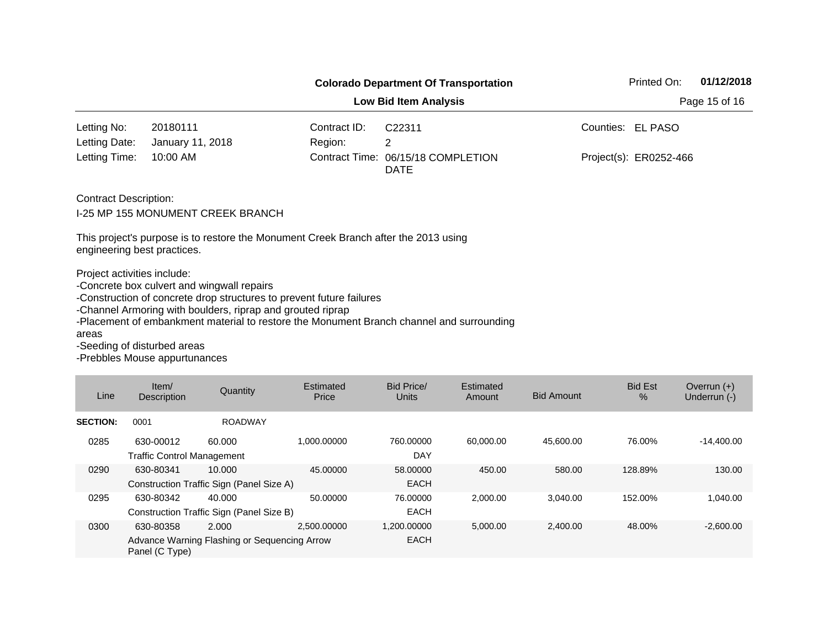|                                                                     |                                                                                                                                                                                                                   |              | <b>Colorado Department Of Transportation</b>                                             | Printed On:<br>01/12/2018   |  |  |  |  |  |
|---------------------------------------------------------------------|-------------------------------------------------------------------------------------------------------------------------------------------------------------------------------------------------------------------|--------------|------------------------------------------------------------------------------------------|-----------------------------|--|--|--|--|--|
| <b>Low Bid Item Analysis</b><br>Page 15 of 16                       |                                                                                                                                                                                                                   |              |                                                                                          |                             |  |  |  |  |  |
| Letting No:                                                         | 20180111                                                                                                                                                                                                          | Contract ID: | C <sub>22311</sub>                                                                       | Counties:<br><b>EL PASO</b> |  |  |  |  |  |
| Letting Date:                                                       | January 11, 2018                                                                                                                                                                                                  | Region:      | 2                                                                                        |                             |  |  |  |  |  |
| Letting Time:                                                       | 10:00 AM                                                                                                                                                                                                          |              | Contract Time: 06/15/18 COMPLETION<br><b>DATE</b>                                        | Project(s): ER0252-466      |  |  |  |  |  |
| <b>Contract Description:</b>                                        | <b>I-25 MP 155 MONUMENT CREEK BRANCH</b><br>This project's purpose is to restore the Monument Creek Branch after the 2013 using                                                                                   |              |                                                                                          |                             |  |  |  |  |  |
| engineering best practices.                                         |                                                                                                                                                                                                                   |              |                                                                                          |                             |  |  |  |  |  |
| Project activities include:<br>areas<br>-Seeding of disturbed areas | -Concrete box culvert and wingwall repairs<br>-Construction of concrete drop structures to prevent future failures<br>-Channel Armoring with boulders, riprap and grouted riprap<br>-Prebbles Mouse appurtunances |              | -Placement of embankment material to restore the Monument Branch channel and surrounding |                             |  |  |  |  |  |

| Line            | Item/<br>Description                           | Quantity                                              | Estimated<br>Price | Bid Price/<br>Units        | Estimated<br>Amount | <b>Bid Amount</b> | <b>Bid Est</b><br>$\frac{9}{6}$ | Overrun $(+)$<br>Underrun (-) |
|-----------------|------------------------------------------------|-------------------------------------------------------|--------------------|----------------------------|---------------------|-------------------|---------------------------------|-------------------------------|
| <b>SECTION:</b> | 0001                                           | <b>ROADWAY</b>                                        |                    |                            |                     |                   |                                 |                               |
| 0285            | 630-00012<br><b>Traffic Control Management</b> | 60.000                                                | 1.000.00000        | 760.00000<br><b>DAY</b>    | 60.000.00           | 45.600.00         | 76.00%                          | $-14,400.00$                  |
| 0290            | 630-80341                                      | 10.000<br>Construction Traffic Sign (Panel Size A)    | 45.00000           | 58,00000<br><b>EACH</b>    | 450.00              | 580.00            | 128.89%                         | 130.00                        |
| 0295            | 630-80342                                      | 40.000<br>Construction Traffic Sign (Panel Size B)    | 50.00000           | 76,00000<br><b>EACH</b>    | 2.000.00            | 3.040.00          | 152.00%                         | 1.040.00                      |
| 0300            | 630-80358<br>Panel (C Type)                    | 2.000<br>Advance Warning Flashing or Sequencing Arrow | 2.500.00000        | 1.200.00000<br><b>EACH</b> | 5,000.00            | 2,400.00          | 48.00%                          | $-2,600.00$                   |